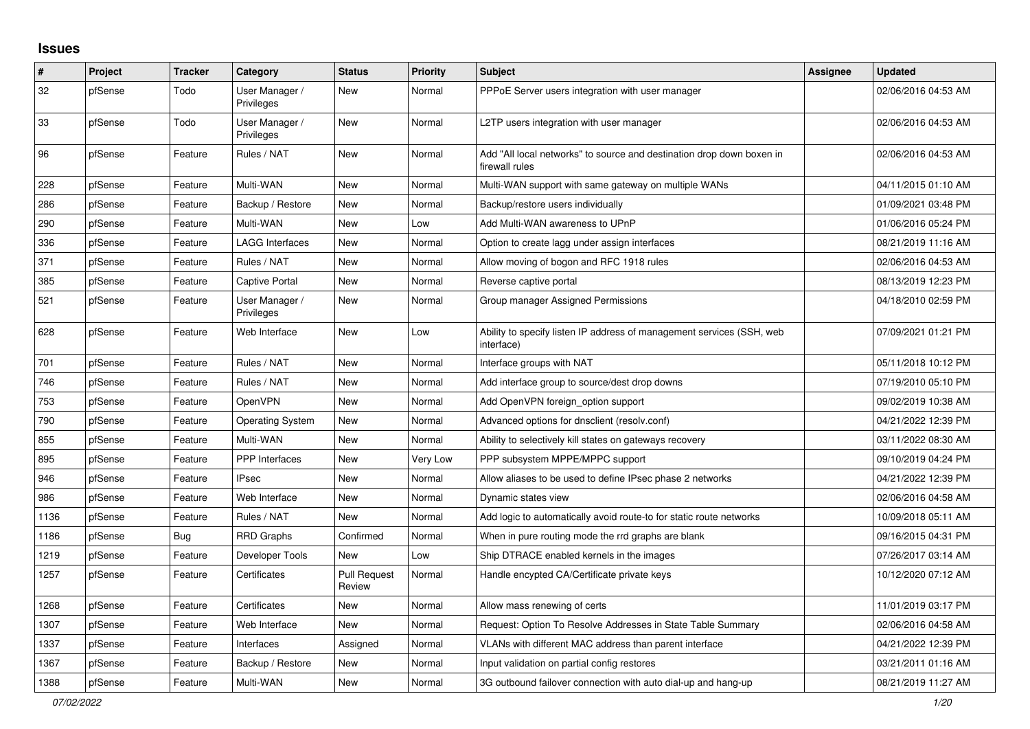## **Issues**

| #    | <b>Project</b> | <b>Tracker</b> | Category                     | <b>Status</b>                 | <b>Priority</b> | <b>Subject</b>                                                                          | Assignee | <b>Updated</b>      |
|------|----------------|----------------|------------------------------|-------------------------------|-----------------|-----------------------------------------------------------------------------------------|----------|---------------------|
| 32   | pfSense        | Todo           | User Manager /<br>Privileges | New                           | Normal          | PPPoE Server users integration with user manager                                        |          | 02/06/2016 04:53 AM |
| 33   | pfSense        | Todo           | User Manager /<br>Privileges | New                           | Normal          | L2TP users integration with user manager                                                |          | 02/06/2016 04:53 AM |
| 96   | pfSense        | Feature        | Rules / NAT                  | New                           | Normal          | Add "All local networks" to source and destination drop down boxen in<br>firewall rules |          | 02/06/2016 04:53 AM |
| 228  | pfSense        | Feature        | Multi-WAN                    | New                           | Normal          | Multi-WAN support with same gateway on multiple WANs                                    |          | 04/11/2015 01:10 AM |
| 286  | pfSense        | Feature        | Backup / Restore             | New                           | Normal          | Backup/restore users individually                                                       |          | 01/09/2021 03:48 PM |
| 290  | pfSense        | Feature        | Multi-WAN                    | New                           | Low             | Add Multi-WAN awareness to UPnP                                                         |          | 01/06/2016 05:24 PM |
| 336  | pfSense        | Feature        | <b>LAGG Interfaces</b>       | New                           | Normal          | Option to create lagg under assign interfaces                                           |          | 08/21/2019 11:16 AM |
| 371  | pfSense        | Feature        | Rules / NAT                  | New                           | Normal          | Allow moving of bogon and RFC 1918 rules                                                |          | 02/06/2016 04:53 AM |
| 385  | pfSense        | Feature        | <b>Captive Portal</b>        | New                           | Normal          | Reverse captive portal                                                                  |          | 08/13/2019 12:23 PM |
| 521  | pfSense        | Feature        | User Manager /<br>Privileges | New                           | Normal          | Group manager Assigned Permissions                                                      |          | 04/18/2010 02:59 PM |
| 628  | pfSense        | Feature        | Web Interface                | New                           | Low             | Ability to specify listen IP address of management services (SSH, web<br>interface)     |          | 07/09/2021 01:21 PM |
| 701  | pfSense        | Feature        | Rules / NAT                  | New                           | Normal          | Interface groups with NAT                                                               |          | 05/11/2018 10:12 PM |
| 746  | pfSense        | Feature        | Rules / NAT                  | New                           | Normal          | Add interface group to source/dest drop downs                                           |          | 07/19/2010 05:10 PM |
| 753  | pfSense        | Feature        | OpenVPN                      | New                           | Normal          | Add OpenVPN foreign option support                                                      |          | 09/02/2019 10:38 AM |
| 790  | pfSense        | Feature        | Operating System             | <b>New</b>                    | Normal          | Advanced options for dnsclient (resolv.conf)                                            |          | 04/21/2022 12:39 PM |
| 855  | pfSense        | Feature        | Multi-WAN                    | New                           | Normal          | Ability to selectively kill states on gateways recovery                                 |          | 03/11/2022 08:30 AM |
| 895  | pfSense        | Feature        | <b>PPP</b> Interfaces        | New                           | Very Low        | PPP subsystem MPPE/MPPC support                                                         |          | 09/10/2019 04:24 PM |
| 946  | pfSense        | Feature        | <b>IPsec</b>                 | New                           | Normal          | Allow aliases to be used to define IPsec phase 2 networks                               |          | 04/21/2022 12:39 PM |
| 986  | pfSense        | Feature        | Web Interface                | New                           | Normal          | Dynamic states view                                                                     |          | 02/06/2016 04:58 AM |
| 1136 | pfSense        | Feature        | Rules / NAT                  | New                           | Normal          | Add logic to automatically avoid route-to for static route networks                     |          | 10/09/2018 05:11 AM |
| 1186 | pfSense        | Bug            | <b>RRD Graphs</b>            | Confirmed                     | Normal          | When in pure routing mode the rrd graphs are blank                                      |          | 09/16/2015 04:31 PM |
| 1219 | pfSense        | Feature        | Developer Tools              | <b>New</b>                    | Low             | Ship DTRACE enabled kernels in the images                                               |          | 07/26/2017 03:14 AM |
| 1257 | pfSense        | Feature        | Certificates                 | <b>Pull Request</b><br>Review | Normal          | Handle encypted CA/Certificate private keys                                             |          | 10/12/2020 07:12 AM |
| 1268 | pfSense        | Feature        | Certificates                 | New                           | Normal          | Allow mass renewing of certs                                                            |          | 11/01/2019 03:17 PM |
| 1307 | pfSense        | Feature        | Web Interface                | <b>New</b>                    | Normal          | Request: Option To Resolve Addresses in State Table Summary                             |          | 02/06/2016 04:58 AM |
| 1337 | pfSense        | Feature        | Interfaces                   | Assigned                      | Normal          | VLANs with different MAC address than parent interface                                  |          | 04/21/2022 12:39 PM |
| 1367 | pfSense        | Feature        | Backup / Restore             | New                           | Normal          | Input validation on partial config restores                                             |          | 03/21/2011 01:16 AM |
| 1388 | pfSense        | Feature        | Multi-WAN                    | New                           | Normal          | 3G outbound failover connection with auto dial-up and hang-up                           |          | 08/21/2019 11:27 AM |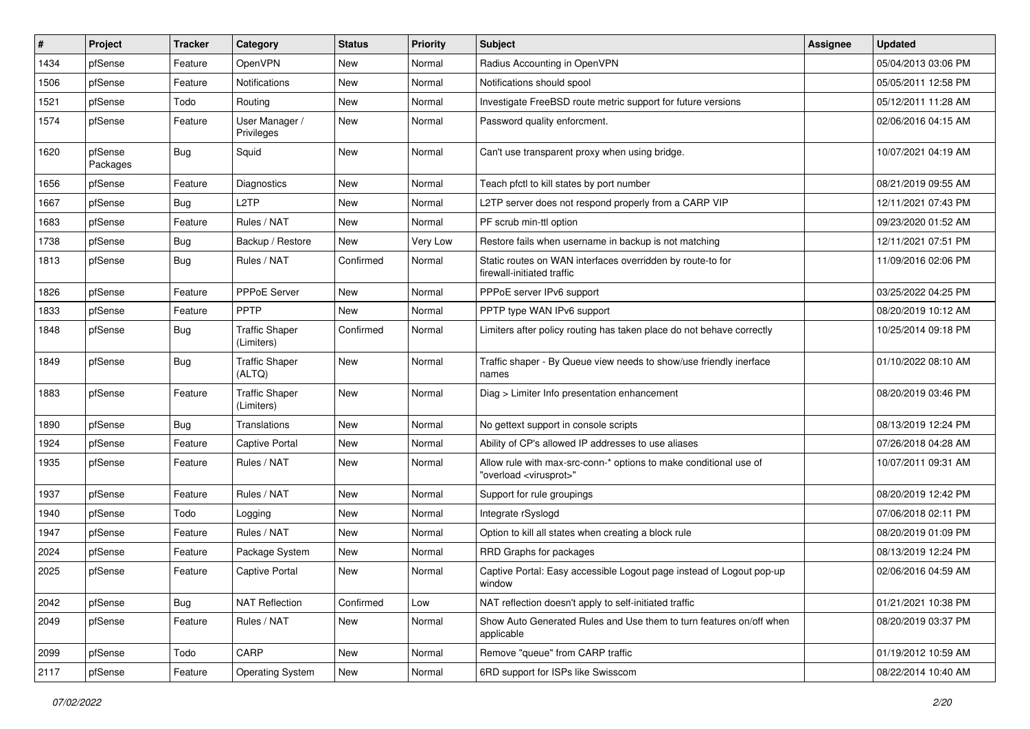| #    | Project             | <b>Tracker</b> | Category                            | <b>Status</b> | <b>Priority</b> | <b>Subject</b>                                                                                          | <b>Assignee</b> | <b>Updated</b>      |
|------|---------------------|----------------|-------------------------------------|---------------|-----------------|---------------------------------------------------------------------------------------------------------|-----------------|---------------------|
| 1434 | pfSense             | Feature        | <b>OpenVPN</b>                      | New           | Normal          | Radius Accounting in OpenVPN                                                                            |                 | 05/04/2013 03:06 PM |
| 1506 | pfSense             | Feature        | <b>Notifications</b>                | New           | Normal          | Notifications should spool                                                                              |                 | 05/05/2011 12:58 PM |
| 1521 | pfSense             | Todo           | Routing                             | New           | Normal          | Investigate FreeBSD route metric support for future versions                                            |                 | 05/12/2011 11:28 AM |
| 1574 | pfSense             | Feature        | User Manager /<br>Privileges        | New           | Normal          | Password quality enforcment.                                                                            |                 | 02/06/2016 04:15 AM |
| 1620 | pfSense<br>Packages | Bug            | Squid                               | New           | Normal          | Can't use transparent proxy when using bridge.                                                          |                 | 10/07/2021 04:19 AM |
| 1656 | pfSense             | Feature        | Diagnostics                         | New           | Normal          | Teach pfctl to kill states by port number                                                               |                 | 08/21/2019 09:55 AM |
| 1667 | pfSense             | Bug            | L <sub>2</sub> TP                   | New           | Normal          | L2TP server does not respond properly from a CARP VIP                                                   |                 | 12/11/2021 07:43 PM |
| 1683 | pfSense             | Feature        | Rules / NAT                         | New           | Normal          | PF scrub min-ttl option                                                                                 |                 | 09/23/2020 01:52 AM |
| 1738 | pfSense             | Bug            | Backup / Restore                    | New           | Very Low        | Restore fails when username in backup is not matching                                                   |                 | 12/11/2021 07:51 PM |
| 1813 | pfSense             | Bug            | Rules / NAT                         | Confirmed     | Normal          | Static routes on WAN interfaces overridden by route-to for<br>firewall-initiated traffic                |                 | 11/09/2016 02:06 PM |
| 1826 | pfSense             | Feature        | PPPoE Server                        | New           | Normal          | PPPoE server IPv6 support                                                                               |                 | 03/25/2022 04:25 PM |
| 1833 | pfSense             | Feature        | <b>PPTP</b>                         | New           | Normal          | PPTP type WAN IPv6 support                                                                              |                 | 08/20/2019 10:12 AM |
| 1848 | pfSense             | Bug            | <b>Traffic Shaper</b><br>(Limiters) | Confirmed     | Normal          | Limiters after policy routing has taken place do not behave correctly                                   |                 | 10/25/2014 09:18 PM |
| 1849 | pfSense             | Bug            | <b>Traffic Shaper</b><br>(ALTQ)     | New           | Normal          | Traffic shaper - By Queue view needs to show/use friendly inerface<br>names                             |                 | 01/10/2022 08:10 AM |
| 1883 | pfSense             | Feature        | <b>Traffic Shaper</b><br>(Limiters) | New           | Normal          | Diag > Limiter Info presentation enhancement                                                            |                 | 08/20/2019 03:46 PM |
| 1890 | pfSense             | Bug            | Translations                        | New           | Normal          | No gettext support in console scripts                                                                   |                 | 08/13/2019 12:24 PM |
| 1924 | pfSense             | Feature        | <b>Captive Portal</b>               | New           | Normal          | Ability of CP's allowed IP addresses to use aliases                                                     |                 | 07/26/2018 04:28 AM |
| 1935 | pfSense             | Feature        | Rules / NAT                         | New           | Normal          | Allow rule with max-src-conn-* options to make conditional use of<br>"overload <virusprot>"</virusprot> |                 | 10/07/2011 09:31 AM |
| 1937 | pfSense             | Feature        | Rules / NAT                         | New           | Normal          | Support for rule groupings                                                                              |                 | 08/20/2019 12:42 PM |
| 1940 | pfSense             | Todo           | Logging                             | New           | Normal          | Integrate rSyslogd                                                                                      |                 | 07/06/2018 02:11 PM |
| 1947 | pfSense             | Feature        | Rules / NAT                         | New           | Normal          | Option to kill all states when creating a block rule                                                    |                 | 08/20/2019 01:09 PM |
| 2024 | pfSense             | Feature        | Package System                      | New           | Normal          | RRD Graphs for packages                                                                                 |                 | 08/13/2019 12:24 PM |
| 2025 | pfSense             | Feature        | Captive Portal                      | New           | Normal          | Captive Portal: Easy accessible Logout page instead of Logout pop-up<br>window                          |                 | 02/06/2016 04:59 AM |
| 2042 | pfSense             | <b>Bug</b>     | <b>NAT Reflection</b>               | Confirmed     | Low             | NAT reflection doesn't apply to self-initiated traffic                                                  |                 | 01/21/2021 10:38 PM |
| 2049 | pfSense             | Feature        | Rules / NAT                         | New           | Normal          | Show Auto Generated Rules and Use them to turn features on/off when<br>applicable                       |                 | 08/20/2019 03:37 PM |
| 2099 | pfSense             | Todo           | CARP                                | New           | Normal          | Remove "queue" from CARP traffic                                                                        |                 | 01/19/2012 10:59 AM |
| 2117 | pfSense             | Feature        | Operating System                    | New           | Normal          | 6RD support for ISPs like Swisscom                                                                      |                 | 08/22/2014 10:40 AM |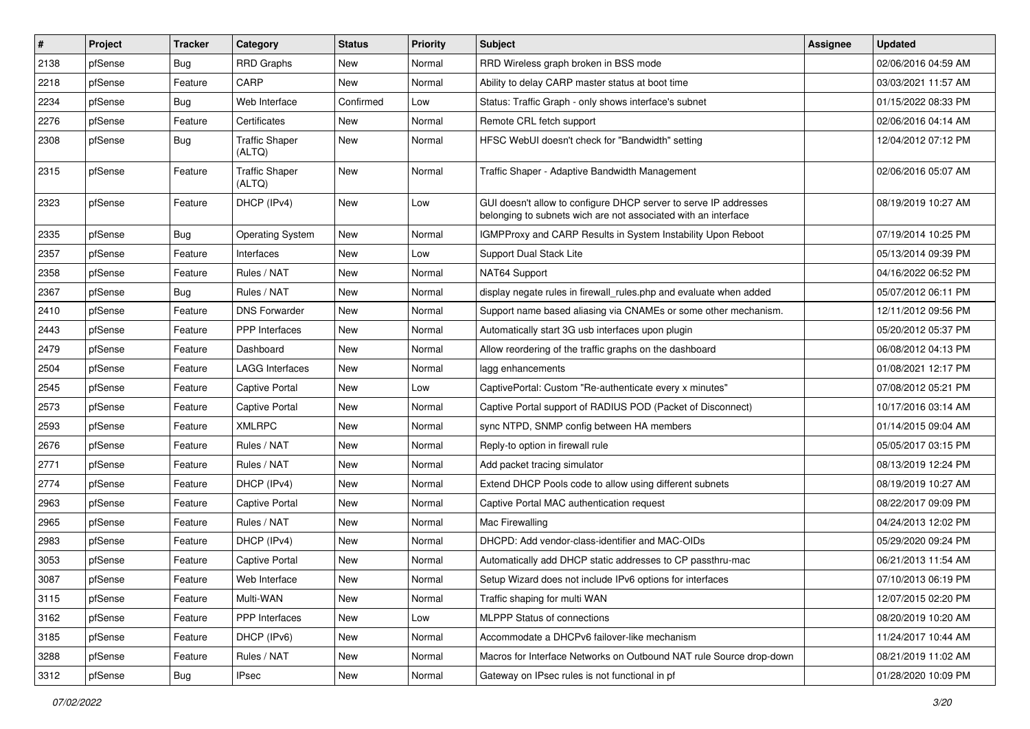| #    | Project | <b>Tracker</b> | Category                        | <b>Status</b> | <b>Priority</b> | <b>Subject</b>                                                                                                                     | Assignee | <b>Updated</b>      |
|------|---------|----------------|---------------------------------|---------------|-----------------|------------------------------------------------------------------------------------------------------------------------------------|----------|---------------------|
| 2138 | pfSense | Bug            | <b>RRD Graphs</b>               | New           | Normal          | RRD Wireless graph broken in BSS mode                                                                                              |          | 02/06/2016 04:59 AM |
| 2218 | pfSense | Feature        | CARP                            | New           | Normal          | Ability to delay CARP master status at boot time                                                                                   |          | 03/03/2021 11:57 AM |
| 2234 | pfSense | <b>Bug</b>     | Web Interface                   | Confirmed     | Low             | Status: Traffic Graph - only shows interface's subnet                                                                              |          | 01/15/2022 08:33 PM |
| 2276 | pfSense | Feature        | Certificates                    | New           | Normal          | Remote CRL fetch support                                                                                                           |          | 02/06/2016 04:14 AM |
| 2308 | pfSense | Bug            | <b>Traffic Shaper</b><br>(ALTQ) | New           | Normal          | HFSC WebUI doesn't check for "Bandwidth" setting                                                                                   |          | 12/04/2012 07:12 PM |
| 2315 | pfSense | Feature        | <b>Traffic Shaper</b><br>(ALTQ) | New           | Normal          | Traffic Shaper - Adaptive Bandwidth Management                                                                                     |          | 02/06/2016 05:07 AM |
| 2323 | pfSense | Feature        | DHCP (IPv4)                     | New           | Low             | GUI doesn't allow to configure DHCP server to serve IP addresses<br>belonging to subnets wich are not associated with an interface |          | 08/19/2019 10:27 AM |
| 2335 | pfSense | <b>Bug</b>     | <b>Operating System</b>         | New           | Normal          | IGMPProxy and CARP Results in System Instability Upon Reboot                                                                       |          | 07/19/2014 10:25 PM |
| 2357 | pfSense | Feature        | Interfaces                      | New           | Low             | Support Dual Stack Lite                                                                                                            |          | 05/13/2014 09:39 PM |
| 2358 | pfSense | Feature        | Rules / NAT                     | New           | Normal          | NAT64 Support                                                                                                                      |          | 04/16/2022 06:52 PM |
| 2367 | pfSense | <b>Bug</b>     | Rules / NAT                     | New           | Normal          | display negate rules in firewall rules php and evaluate when added                                                                 |          | 05/07/2012 06:11 PM |
| 2410 | pfSense | Feature        | <b>DNS Forwarder</b>            | New           | Normal          | Support name based aliasing via CNAMEs or some other mechanism.                                                                    |          | 12/11/2012 09:56 PM |
| 2443 | pfSense | Feature        | PPP Interfaces                  | New           | Normal          | Automatically start 3G usb interfaces upon plugin                                                                                  |          | 05/20/2012 05:37 PM |
| 2479 | pfSense | Feature        | Dashboard                       | New           | Normal          | Allow reordering of the traffic graphs on the dashboard                                                                            |          | 06/08/2012 04:13 PM |
| 2504 | pfSense | Feature        | <b>LAGG Interfaces</b>          | New           | Normal          | lagg enhancements                                                                                                                  |          | 01/08/2021 12:17 PM |
| 2545 | pfSense | Feature        | Captive Portal                  | New           | Low             | CaptivePortal: Custom "Re-authenticate every x minutes"                                                                            |          | 07/08/2012 05:21 PM |
| 2573 | pfSense | Feature        | Captive Portal                  | New           | Normal          | Captive Portal support of RADIUS POD (Packet of Disconnect)                                                                        |          | 10/17/2016 03:14 AM |
| 2593 | pfSense | Feature        | <b>XMLRPC</b>                   | New           | Normal          | sync NTPD, SNMP config between HA members                                                                                          |          | 01/14/2015 09:04 AM |
| 2676 | pfSense | Feature        | Rules / NAT                     | New           | Normal          | Reply-to option in firewall rule                                                                                                   |          | 05/05/2017 03:15 PM |
| 2771 | pfSense | Feature        | Rules / NAT                     | New           | Normal          | Add packet tracing simulator                                                                                                       |          | 08/13/2019 12:24 PM |
| 2774 | pfSense | Feature        | DHCP (IPv4)                     | New           | Normal          | Extend DHCP Pools code to allow using different subnets                                                                            |          | 08/19/2019 10:27 AM |
| 2963 | pfSense | Feature        | <b>Captive Portal</b>           | New           | Normal          | Captive Portal MAC authentication request                                                                                          |          | 08/22/2017 09:09 PM |
| 2965 | pfSense | Feature        | Rules / NAT                     | New           | Normal          | Mac Firewalling                                                                                                                    |          | 04/24/2013 12:02 PM |
| 2983 | pfSense | Feature        | DHCP (IPv4)                     | New           | Normal          | DHCPD: Add vendor-class-identifier and MAC-OIDs                                                                                    |          | 05/29/2020 09:24 PM |
| 3053 | pfSense | Feature        | Captive Portal                  | New           | Normal          | Automatically add DHCP static addresses to CP passthru-mac                                                                         |          | 06/21/2013 11:54 AM |
| 3087 | pfSense | Feature        | Web Interface                   | New           | Normal          | Setup Wizard does not include IPv6 options for interfaces                                                                          |          | 07/10/2013 06:19 PM |
| 3115 | pfSense | Feature        | Multi-WAN                       | New           | Normal          | Traffic shaping for multi WAN                                                                                                      |          | 12/07/2015 02:20 PM |
| 3162 | pfSense | Feature        | PPP Interfaces                  | New           | Low             | MLPPP Status of connections                                                                                                        |          | 08/20/2019 10:20 AM |
| 3185 | pfSense | Feature        | DHCP (IPv6)                     | New           | Normal          | Accommodate a DHCPv6 failover-like mechanism                                                                                       |          | 11/24/2017 10:44 AM |
| 3288 | pfSense | Feature        | Rules / NAT                     | New           | Normal          | Macros for Interface Networks on Outbound NAT rule Source drop-down                                                                |          | 08/21/2019 11:02 AM |
| 3312 | pfSense | Bug            | IPsec                           | New           | Normal          | Gateway on IPsec rules is not functional in pf                                                                                     |          | 01/28/2020 10:09 PM |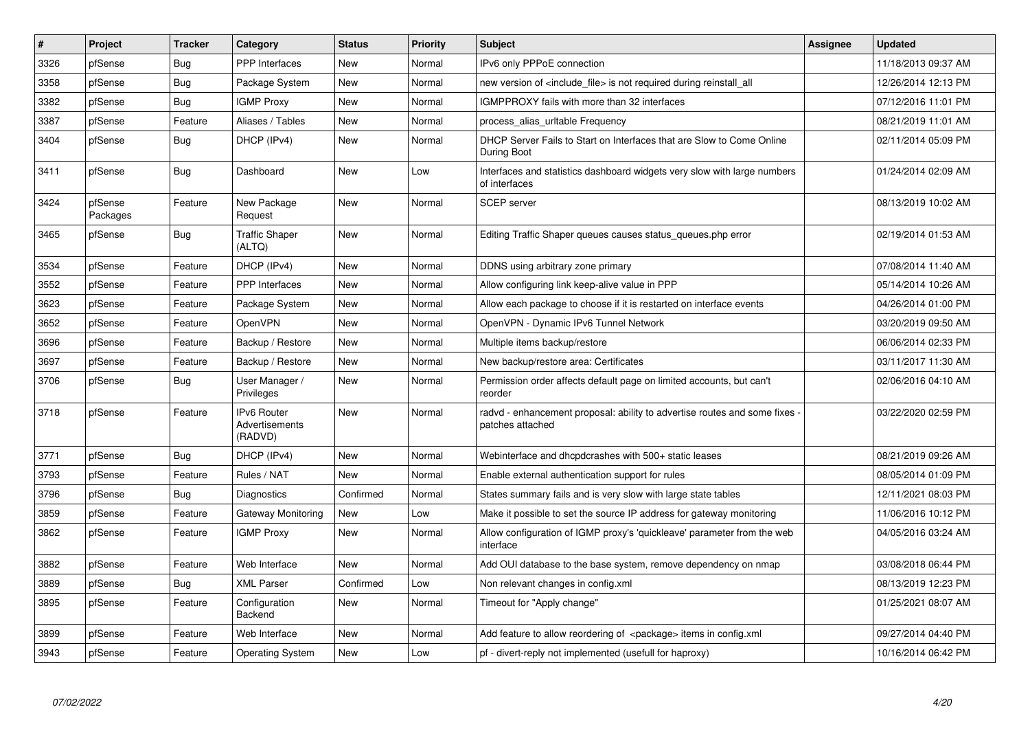| $\vert$ # | Project             | <b>Tracker</b> | Category                                 | <b>Status</b> | <b>Priority</b> | <b>Subject</b>                                                                               | <b>Assignee</b> | <b>Updated</b>      |
|-----------|---------------------|----------------|------------------------------------------|---------------|-----------------|----------------------------------------------------------------------------------------------|-----------------|---------------------|
| 3326      | pfSense             | Bug            | PPP Interfaces                           | <b>New</b>    | Normal          | IPv6 only PPPoE connection                                                                   |                 | 11/18/2013 09:37 AM |
| 3358      | pfSense             | Bug            | Package System                           | New           | Normal          | new version of <include file=""> is not required during reinstall all</include>              |                 | 12/26/2014 12:13 PM |
| 3382      | pfSense             | Bug            | <b>IGMP Proxy</b>                        | New           | Normal          | IGMPPROXY fails with more than 32 interfaces                                                 |                 | 07/12/2016 11:01 PM |
| 3387      | pfSense             | Feature        | Aliases / Tables                         | New           | Normal          | process_alias_urltable Frequency                                                             |                 | 08/21/2019 11:01 AM |
| 3404      | pfSense             | Bug            | DHCP (IPv4)                              | New           | Normal          | DHCP Server Fails to Start on Interfaces that are Slow to Come Online<br>During Boot         |                 | 02/11/2014 05:09 PM |
| 3411      | pfSense             | Bug            | Dashboard                                | <b>New</b>    | Low             | Interfaces and statistics dashboard widgets very slow with large numbers<br>of interfaces    |                 | 01/24/2014 02:09 AM |
| 3424      | pfSense<br>Packages | Feature        | New Package<br>Request                   | New           | Normal          | <b>SCEP</b> server                                                                           |                 | 08/13/2019 10:02 AM |
| 3465      | pfSense             | Bug            | <b>Traffic Shaper</b><br>(ALTQ)          | <b>New</b>    | Normal          | Editing Traffic Shaper queues causes status_queues.php error                                 |                 | 02/19/2014 01:53 AM |
| 3534      | pfSense             | Feature        | DHCP (IPv4)                              | <b>New</b>    | Normal          | DDNS using arbitrary zone primary                                                            |                 | 07/08/2014 11:40 AM |
| 3552      | pfSense             | Feature        | PPP Interfaces                           | <b>New</b>    | Normal          | Allow configuring link keep-alive value in PPP                                               |                 | 05/14/2014 10:26 AM |
| 3623      | pfSense             | Feature        | Package System                           | New           | Normal          | Allow each package to choose if it is restarted on interface events                          |                 | 04/26/2014 01:00 PM |
| 3652      | pfSense             | Feature        | OpenVPN                                  | New           | Normal          | OpenVPN - Dynamic IPv6 Tunnel Network                                                        |                 | 03/20/2019 09:50 AM |
| 3696      | pfSense             | Feature        | Backup / Restore                         | New           | Normal          | Multiple items backup/restore                                                                |                 | 06/06/2014 02:33 PM |
| 3697      | pfSense             | Feature        | Backup / Restore                         | New           | Normal          | New backup/restore area: Certificates                                                        |                 | 03/11/2017 11:30 AM |
| 3706      | pfSense             | Bug            | User Manager /<br>Privileges             | New           | Normal          | Permission order affects default page on limited accounts, but can't<br>reorder              |                 | 02/06/2016 04:10 AM |
| 3718      | pfSense             | Feature        | IPv6 Router<br>Advertisements<br>(RADVD) | New           | Normal          | radvd - enhancement proposal: ability to advertise routes and some fixes<br>patches attached |                 | 03/22/2020 02:59 PM |
| 3771      | pfSense             | Bug            | DHCP (IPv4)                              | New           | Normal          | Webinterface and dhcpdcrashes with 500+ static leases                                        |                 | 08/21/2019 09:26 AM |
| 3793      | pfSense             | Feature        | Rules / NAT                              | New           | Normal          | Enable external authentication support for rules                                             |                 | 08/05/2014 01:09 PM |
| 3796      | pfSense             | Bug            | Diagnostics                              | Confirmed     | Normal          | States summary fails and is very slow with large state tables                                |                 | 12/11/2021 08:03 PM |
| 3859      | pfSense             | Feature        | Gateway Monitoring                       | New           | Low             | Make it possible to set the source IP address for gateway monitoring                         |                 | 11/06/2016 10:12 PM |
| 3862      | pfSense             | Feature        | <b>IGMP Proxy</b>                        | New           | Normal          | Allow configuration of IGMP proxy's 'quickleave' parameter from the web<br>interface         |                 | 04/05/2016 03:24 AM |
| 3882      | pfSense             | Feature        | Web Interface                            | New           | Normal          | Add OUI database to the base system, remove dependency on nmap                               |                 | 03/08/2018 06:44 PM |
| 3889      | pfSense             | Bug            | <b>XML Parser</b>                        | Confirmed     | Low             | Non relevant changes in config.xml                                                           |                 | 08/13/2019 12:23 PM |
| 3895      | pfSense             | Feature        | Configuration<br>Backend                 | <b>New</b>    | Normal          | Timeout for "Apply change"                                                                   |                 | 01/25/2021 08:07 AM |
| 3899      | pfSense             | Feature        | Web Interface                            | New           | Normal          | Add feature to allow reordering of <package> items in config.xml</package>                   |                 | 09/27/2014 04:40 PM |
| 3943      | pfSense             | Feature        | <b>Operating System</b>                  | <b>New</b>    | Low             | pf - divert-reply not implemented (usefull for haproxy)                                      |                 | 10/16/2014 06:42 PM |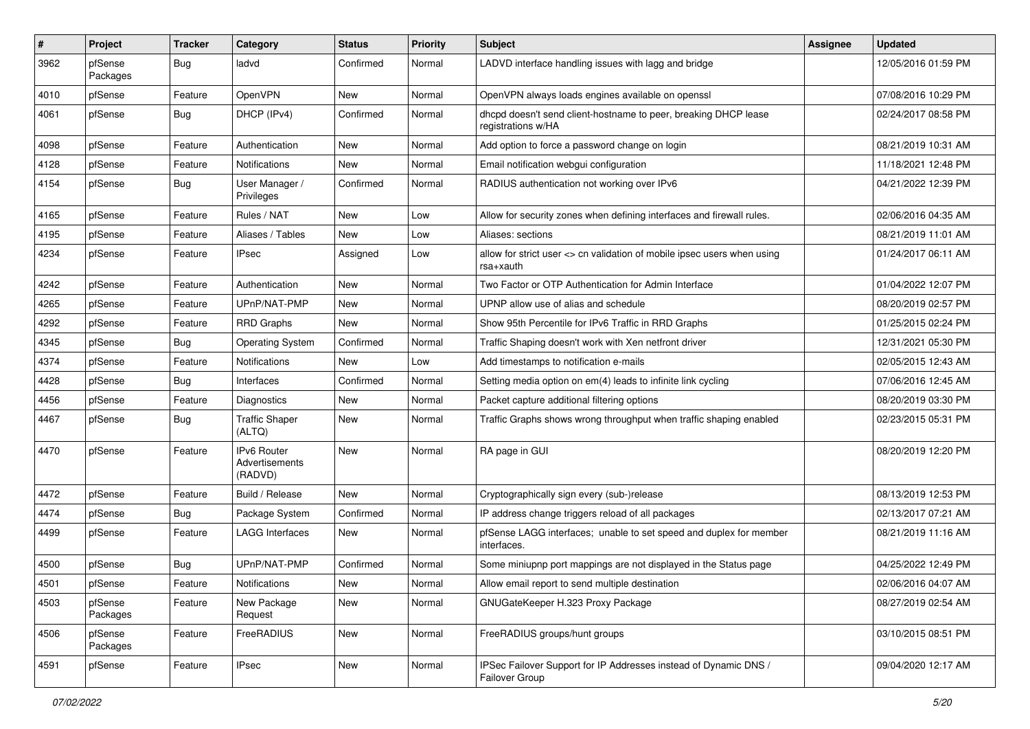| #    | Project             | <b>Tracker</b> | Category                                 | <b>Status</b> | <b>Priority</b> | <b>Subject</b>                                                                        | Assignee | <b>Updated</b>      |
|------|---------------------|----------------|------------------------------------------|---------------|-----------------|---------------------------------------------------------------------------------------|----------|---------------------|
| 3962 | pfSense<br>Packages | Bug            | ladvd                                    | Confirmed     | Normal          | LADVD interface handling issues with lagg and bridge                                  |          | 12/05/2016 01:59 PM |
| 4010 | pfSense             | Feature        | OpenVPN                                  | New           | Normal          | OpenVPN always loads engines available on openssl                                     |          | 07/08/2016 10:29 PM |
| 4061 | pfSense             | <b>Bug</b>     | DHCP (IPv4)                              | Confirmed     | Normal          | dhcpd doesn't send client-hostname to peer, breaking DHCP lease<br>registrations w/HA |          | 02/24/2017 08:58 PM |
| 4098 | pfSense             | Feature        | Authentication                           | New           | Normal          | Add option to force a password change on login                                        |          | 08/21/2019 10:31 AM |
| 4128 | pfSense             | Feature        | Notifications                            | New           | Normal          | Email notification webgui configuration                                               |          | 11/18/2021 12:48 PM |
| 4154 | pfSense             | Bug            | User Manager /<br>Privileges             | Confirmed     | Normal          | RADIUS authentication not working over IPv6                                           |          | 04/21/2022 12:39 PM |
| 4165 | pfSense             | Feature        | Rules / NAT                              | New           | Low             | Allow for security zones when defining interfaces and firewall rules.                 |          | 02/06/2016 04:35 AM |
| 4195 | pfSense             | Feature        | Aliases / Tables                         | New           | Low             | Aliases: sections                                                                     |          | 08/21/2019 11:01 AM |
| 4234 | pfSense             | Feature        | IPsec                                    | Assigned      | Low             | allow for strict user <> cn validation of mobile ipsec users when using<br>rsa+xauth  |          | 01/24/2017 06:11 AM |
| 4242 | pfSense             | Feature        | Authentication                           | New           | Normal          | Two Factor or OTP Authentication for Admin Interface                                  |          | 01/04/2022 12:07 PM |
| 4265 | pfSense             | Feature        | UPnP/NAT-PMP                             | New           | Normal          | UPNP allow use of alias and schedule                                                  |          | 08/20/2019 02:57 PM |
| 4292 | pfSense             | Feature        | <b>RRD Graphs</b>                        | New           | Normal          | Show 95th Percentile for IPv6 Traffic in RRD Graphs                                   |          | 01/25/2015 02:24 PM |
| 4345 | pfSense             | Bug            | <b>Operating System</b>                  | Confirmed     | Normal          | Traffic Shaping doesn't work with Xen netfront driver                                 |          | 12/31/2021 05:30 PM |
| 4374 | pfSense             | Feature        | Notifications                            | New           | Low             | Add timestamps to notification e-mails                                                |          | 02/05/2015 12:43 AM |
| 4428 | pfSense             | <b>Bug</b>     | Interfaces                               | Confirmed     | Normal          | Setting media option on em(4) leads to infinite link cycling                          |          | 07/06/2016 12:45 AM |
| 4456 | pfSense             | Feature        | Diagnostics                              | New           | Normal          | Packet capture additional filtering options                                           |          | 08/20/2019 03:30 PM |
| 4467 | pfSense             | Bug            | <b>Traffic Shaper</b><br>(ALTQ)          | New           | Normal          | Traffic Graphs shows wrong throughput when traffic shaping enabled                    |          | 02/23/2015 05:31 PM |
| 4470 | pfSense             | Feature        | IPv6 Router<br>Advertisements<br>(RADVD) | New           | Normal          | RA page in GUI                                                                        |          | 08/20/2019 12:20 PM |
| 4472 | pfSense             | Feature        | Build / Release                          | <b>New</b>    | Normal          | Cryptographically sign every (sub-)release                                            |          | 08/13/2019 12:53 PM |
| 4474 | pfSense             | <b>Bug</b>     | Package System                           | Confirmed     | Normal          | IP address change triggers reload of all packages                                     |          | 02/13/2017 07:21 AM |
| 4499 | pfSense             | Feature        | LAGG Interfaces                          | New           | Normal          | pfSense LAGG interfaces; unable to set speed and duplex for member<br>interfaces.     |          | 08/21/2019 11:16 AM |
| 4500 | pfSense             | Bug            | UPnP/NAT-PMP                             | Confirmed     | Normal          | Some miniupnp port mappings are not displayed in the Status page                      |          | 04/25/2022 12:49 PM |
| 4501 | pfSense             | Feature        | Notifications                            | New           | Normal          | Allow email report to send multiple destination                                       |          | 02/06/2016 04:07 AM |
| 4503 | pfSense<br>Packages | Feature        | New Package<br>Request                   | New           | Normal          | GNUGateKeeper H.323 Proxy Package                                                     |          | 08/27/2019 02:54 AM |
| 4506 | pfSense<br>Packages | Feature        | FreeRADIUS                               | New           | Normal          | FreeRADIUS groups/hunt groups                                                         |          | 03/10/2015 08:51 PM |
| 4591 | pfSense             | Feature        | <b>IPsec</b>                             | New           | Normal          | IPSec Failover Support for IP Addresses instead of Dynamic DNS /<br>Failover Group    |          | 09/04/2020 12:17 AM |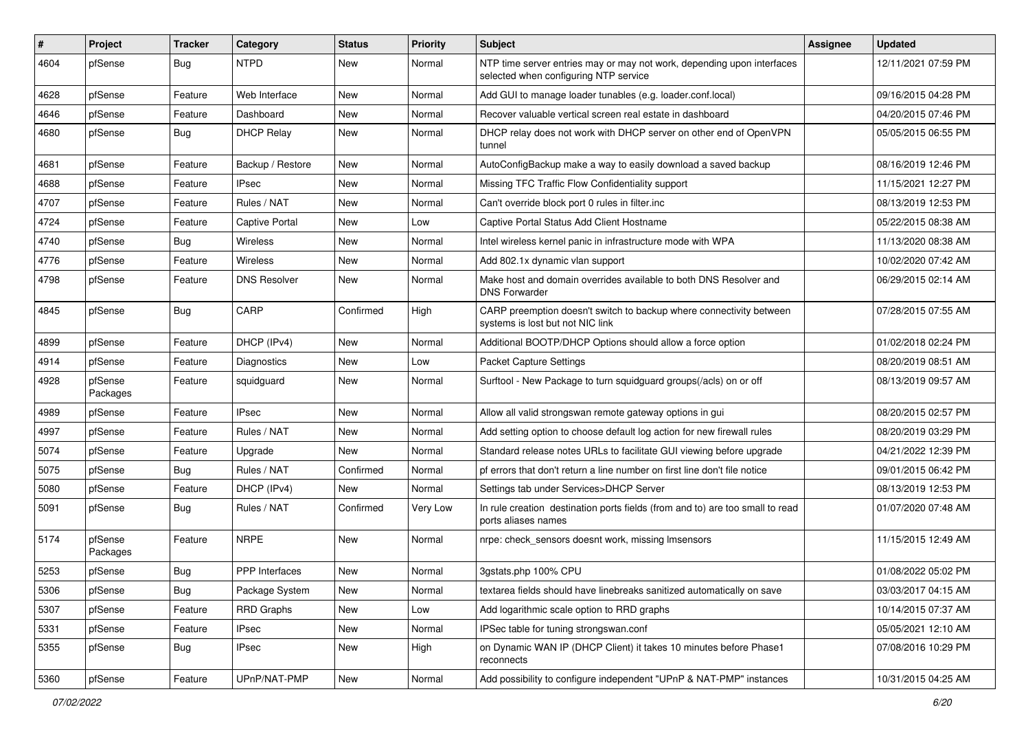| #    | Project             | <b>Tracker</b> | Category              | <b>Status</b> | <b>Priority</b> | <b>Subject</b>                                                                                                  | <b>Assignee</b> | <b>Updated</b>      |
|------|---------------------|----------------|-----------------------|---------------|-----------------|-----------------------------------------------------------------------------------------------------------------|-----------------|---------------------|
| 4604 | pfSense             | Bug            | <b>NTPD</b>           | New           | Normal          | NTP time server entries may or may not work, depending upon interfaces<br>selected when configuring NTP service |                 | 12/11/2021 07:59 PM |
| 4628 | pfSense             | Feature        | Web Interface         | New           | Normal          | Add GUI to manage loader tunables (e.g. loader.conf.local)                                                      |                 | 09/16/2015 04:28 PM |
| 4646 | pfSense             | Feature        | Dashboard             | New           | Normal          | Recover valuable vertical screen real estate in dashboard                                                       |                 | 04/20/2015 07:46 PM |
| 4680 | pfSense             | Bug            | <b>DHCP Relay</b>     | New           | Normal          | DHCP relay does not work with DHCP server on other end of OpenVPN<br>tunnel                                     |                 | 05/05/2015 06:55 PM |
| 4681 | pfSense             | Feature        | Backup / Restore      | New           | Normal          | AutoConfigBackup make a way to easily download a saved backup                                                   |                 | 08/16/2019 12:46 PM |
| 4688 | pfSense             | Feature        | <b>IPsec</b>          | New           | Normal          | Missing TFC Traffic Flow Confidentiality support                                                                |                 | 11/15/2021 12:27 PM |
| 4707 | pfSense             | Feature        | Rules / NAT           | New           | Normal          | Can't override block port 0 rules in filter.inc                                                                 |                 | 08/13/2019 12:53 PM |
| 4724 | pfSense             | Feature        | <b>Captive Portal</b> | New           | Low             | Captive Portal Status Add Client Hostname                                                                       |                 | 05/22/2015 08:38 AM |
| 4740 | pfSense             | Bug            | <b>Wireless</b>       | New           | Normal          | Intel wireless kernel panic in infrastructure mode with WPA                                                     |                 | 11/13/2020 08:38 AM |
| 4776 | pfSense             | Feature        | <b>Wireless</b>       | New           | Normal          | Add 802.1x dynamic vlan support                                                                                 |                 | 10/02/2020 07:42 AM |
| 4798 | pfSense             | Feature        | <b>DNS Resolver</b>   | New           | Normal          | Make host and domain overrides available to both DNS Resolver and<br><b>DNS Forwarder</b>                       |                 | 06/29/2015 02:14 AM |
| 4845 | pfSense             | Bug            | CARP                  | Confirmed     | High            | CARP preemption doesn't switch to backup where connectivity between<br>systems is lost but not NIC link         |                 | 07/28/2015 07:55 AM |
| 4899 | pfSense             | Feature        | DHCP (IPv4)           | New           | Normal          | Additional BOOTP/DHCP Options should allow a force option                                                       |                 | 01/02/2018 02:24 PM |
| 4914 | pfSense             | Feature        | Diagnostics           | New           | Low             | <b>Packet Capture Settings</b>                                                                                  |                 | 08/20/2019 08:51 AM |
| 4928 | pfSense<br>Packages | Feature        | squidquard            | New           | Normal          | Surftool - New Package to turn squidguard groups(/acls) on or off                                               |                 | 08/13/2019 09:57 AM |
| 4989 | pfSense             | Feature        | <b>IPsec</b>          | New           | Normal          | Allow all valid strongswan remote gateway options in gui                                                        |                 | 08/20/2015 02:57 PM |
| 4997 | pfSense             | Feature        | Rules / NAT           | New           | Normal          | Add setting option to choose default log action for new firewall rules                                          |                 | 08/20/2019 03:29 PM |
| 5074 | pfSense             | Feature        | Upgrade               | New           | Normal          | Standard release notes URLs to facilitate GUI viewing before upgrade                                            |                 | 04/21/2022 12:39 PM |
| 5075 | pfSense             | Bug            | Rules / NAT           | Confirmed     | Normal          | pf errors that don't return a line number on first line don't file notice                                       |                 | 09/01/2015 06:42 PM |
| 5080 | pfSense             | Feature        | DHCP (IPv4)           | New           | Normal          | Settings tab under Services>DHCP Server                                                                         |                 | 08/13/2019 12:53 PM |
| 5091 | pfSense             | Bug            | Rules / NAT           | Confirmed     | Very Low        | In rule creation destination ports fields (from and to) are too small to read<br>ports aliases names            |                 | 01/07/2020 07:48 AM |
| 5174 | pfSense<br>Packages | Feature        | <b>NRPE</b>           | New           | Normal          | nrpe: check sensors doesnt work, missing Imsensors                                                              |                 | 11/15/2015 12:49 AM |
| 5253 | pfSense             | Bug            | PPP Interfaces        | New           | Normal          | 3gstats.php 100% CPU                                                                                            |                 | 01/08/2022 05:02 PM |
| 5306 | pfSense             | <b>Bug</b>     | Package System        | New           | Normal          | textarea fields should have linebreaks sanitized automatically on save                                          |                 | 03/03/2017 04:15 AM |
| 5307 | pfSense             | Feature        | <b>RRD Graphs</b>     | New           | Low             | Add logarithmic scale option to RRD graphs                                                                      |                 | 10/14/2015 07:37 AM |
| 5331 | pfSense             | Feature        | IPsec                 | New           | Normal          | IPSec table for tuning strongswan.conf                                                                          |                 | 05/05/2021 12:10 AM |
| 5355 | pfSense             | <b>Bug</b>     | <b>IPsec</b>          | New           | High            | on Dynamic WAN IP (DHCP Client) it takes 10 minutes before Phase1<br>reconnects                                 |                 | 07/08/2016 10:29 PM |
| 5360 | pfSense             | Feature        | UPnP/NAT-PMP          | New           | Normal          | Add possibility to configure independent "UPnP & NAT-PMP" instances                                             |                 | 10/31/2015 04:25 AM |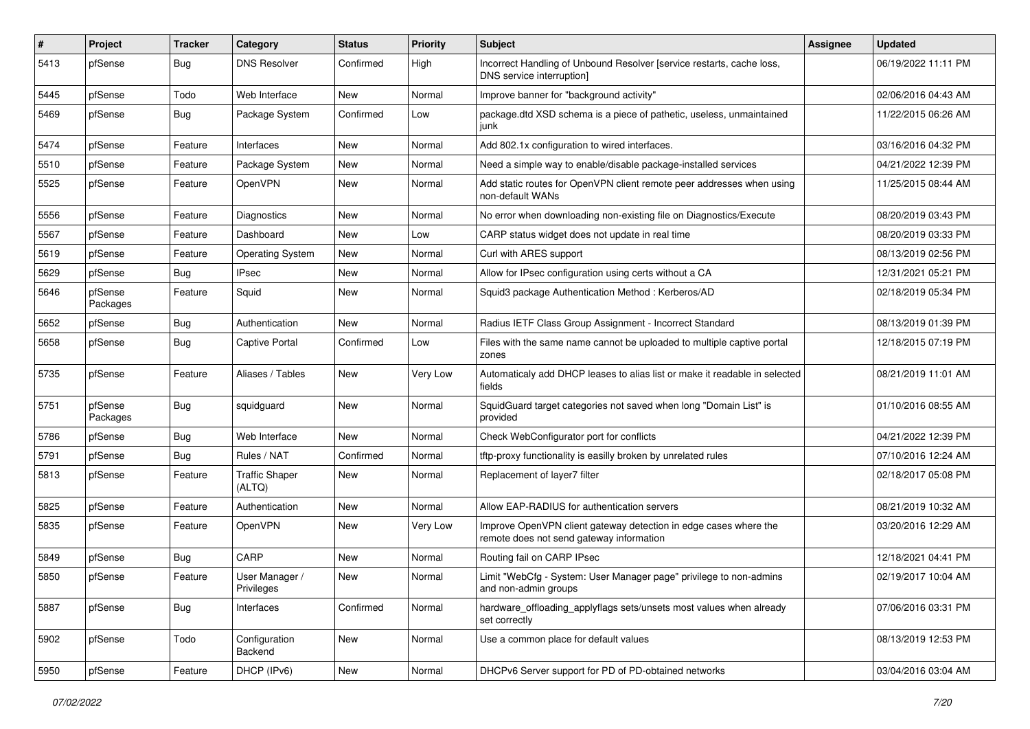| $\#$ | Project             | <b>Tracker</b> | Category                        | <b>Status</b> | Priority | <b>Subject</b>                                                                                               | Assignee | <b>Updated</b>      |
|------|---------------------|----------------|---------------------------------|---------------|----------|--------------------------------------------------------------------------------------------------------------|----------|---------------------|
| 5413 | pfSense             | Bug            | <b>DNS Resolver</b>             | Confirmed     | High     | Incorrect Handling of Unbound Resolver [service restarts, cache loss,<br>DNS service interruption]           |          | 06/19/2022 11:11 PM |
| 5445 | pfSense             | Todo           | Web Interface                   | New           | Normal   | Improve banner for "background activity"                                                                     |          | 02/06/2016 04:43 AM |
| 5469 | pfSense             | Bug            | Package System                  | Confirmed     | Low      | package.dtd XSD schema is a piece of pathetic, useless, unmaintained<br>junk                                 |          | 11/22/2015 06:26 AM |
| 5474 | pfSense             | Feature        | Interfaces                      | New           | Normal   | Add 802.1x configuration to wired interfaces.                                                                |          | 03/16/2016 04:32 PM |
| 5510 | pfSense             | Feature        | Package System                  | New           | Normal   | Need a simple way to enable/disable package-installed services                                               |          | 04/21/2022 12:39 PM |
| 5525 | pfSense             | Feature        | OpenVPN                         | New           | Normal   | Add static routes for OpenVPN client remote peer addresses when using<br>non-default WANs                    |          | 11/25/2015 08:44 AM |
| 5556 | pfSense             | Feature        | Diagnostics                     | New           | Normal   | No error when downloading non-existing file on Diagnostics/Execute                                           |          | 08/20/2019 03:43 PM |
| 5567 | pfSense             | Feature        | Dashboard                       | New           | Low      | CARP status widget does not update in real time                                                              |          | 08/20/2019 03:33 PM |
| 5619 | pfSense             | Feature        | <b>Operating System</b>         | New           | Normal   | Curl with ARES support                                                                                       |          | 08/13/2019 02:56 PM |
| 5629 | pfSense             | Bug            | <b>IPsec</b>                    | New           | Normal   | Allow for IPsec configuration using certs without a CA                                                       |          | 12/31/2021 05:21 PM |
| 5646 | pfSense<br>Packages | Feature        | Squid                           | New           | Normal   | Squid3 package Authentication Method: Kerberos/AD                                                            |          | 02/18/2019 05:34 PM |
| 5652 | pfSense             | Bug            | Authentication                  | New           | Normal   | Radius IETF Class Group Assignment - Incorrect Standard                                                      |          | 08/13/2019 01:39 PM |
| 5658 | pfSense             | Bug            | <b>Captive Portal</b>           | Confirmed     | Low      | Files with the same name cannot be uploaded to multiple captive portal<br>zones                              |          | 12/18/2015 07:19 PM |
| 5735 | pfSense             | Feature        | Aliases / Tables                | New           | Very Low | Automaticaly add DHCP leases to alias list or make it readable in selected<br>fields                         |          | 08/21/2019 11:01 AM |
| 5751 | pfSense<br>Packages | Bug            | squidguard                      | New           | Normal   | SquidGuard target categories not saved when long "Domain List" is<br>provided                                |          | 01/10/2016 08:55 AM |
| 5786 | pfSense             | Bug            | Web Interface                   | <b>New</b>    | Normal   | Check WebConfigurator port for conflicts                                                                     |          | 04/21/2022 12:39 PM |
| 5791 | pfSense             | Bug            | Rules / NAT                     | Confirmed     | Normal   | tftp-proxy functionality is easilly broken by unrelated rules                                                |          | 07/10/2016 12:24 AM |
| 5813 | pfSense             | Feature        | <b>Traffic Shaper</b><br>(ALTQ) | New           | Normal   | Replacement of layer7 filter                                                                                 |          | 02/18/2017 05:08 PM |
| 5825 | pfSense             | Feature        | Authentication                  | New           | Normal   | Allow EAP-RADIUS for authentication servers                                                                  |          | 08/21/2019 10:32 AM |
| 5835 | pfSense             | Feature        | OpenVPN                         | New           | Very Low | Improve OpenVPN client gateway detection in edge cases where the<br>remote does not send gateway information |          | 03/20/2016 12:29 AM |
| 5849 | pfSense             | Bug            | CARP                            | New           | Normal   | Routing fail on CARP IPsec                                                                                   |          | 12/18/2021 04:41 PM |
| 5850 | pfSense             | Feature        | User Manager /<br>Privileges    | New           | Normal   | Limit "WebCfg - System: User Manager page" privilege to non-admins<br>and non-admin groups                   |          | 02/19/2017 10:04 AM |
| 5887 | pfSense             | Bug            | Interfaces                      | Confirmed     | Normal   | hardware offloading applyflags sets/unsets most values when already<br>set correctly                         |          | 07/06/2016 03:31 PM |
| 5902 | pfSense             | Todo           | Configuration<br>Backend        | New           | Normal   | Use a common place for default values                                                                        |          | 08/13/2019 12:53 PM |
| 5950 | pfSense             | Feature        | DHCP (IPv6)                     | New           | Normal   | DHCPv6 Server support for PD of PD-obtained networks                                                         |          | 03/04/2016 03:04 AM |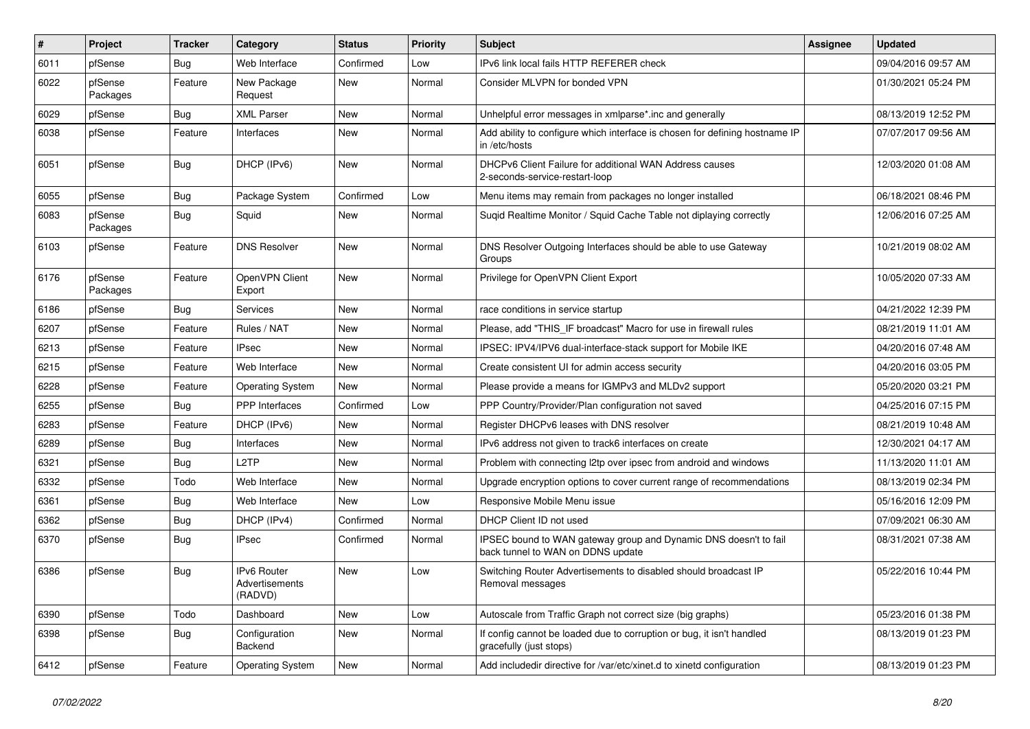| ∦    | Project             | <b>Tracker</b> | Category                                        | <b>Status</b> | Priority | <b>Subject</b>                                                                                        | <b>Assignee</b> | <b>Updated</b>      |
|------|---------------------|----------------|-------------------------------------------------|---------------|----------|-------------------------------------------------------------------------------------------------------|-----------------|---------------------|
| 6011 | pfSense             | Bug            | Web Interface                                   | Confirmed     | Low      | IPv6 link local fails HTTP REFERER check                                                              |                 | 09/04/2016 09:57 AM |
| 6022 | pfSense<br>Packages | Feature        | New Package<br>Request                          | <b>New</b>    | Normal   | Consider MLVPN for bonded VPN                                                                         |                 | 01/30/2021 05:24 PM |
| 6029 | pfSense             | <b>Bug</b>     | <b>XML Parser</b>                               | <b>New</b>    | Normal   | Unhelpful error messages in xmlparse*.inc and generally                                               |                 | 08/13/2019 12:52 PM |
| 6038 | pfSense             | Feature        | Interfaces                                      | New           | Normal   | Add ability to configure which interface is chosen for defining hostname IP<br>in /etc/hosts          |                 | 07/07/2017 09:56 AM |
| 6051 | pfSense             | Bug            | DHCP (IPv6)                                     | <b>New</b>    | Normal   | DHCPv6 Client Failure for additional WAN Address causes<br>2-seconds-service-restart-loop             |                 | 12/03/2020 01:08 AM |
| 6055 | pfSense             | <b>Bug</b>     | Package System                                  | Confirmed     | Low      | Menu items may remain from packages no longer installed                                               |                 | 06/18/2021 08:46 PM |
| 6083 | pfSense<br>Packages | Bug            | Squid                                           | <b>New</b>    | Normal   | Suqid Realtime Monitor / Squid Cache Table not diplaying correctly                                    |                 | 12/06/2016 07:25 AM |
| 6103 | pfSense             | Feature        | <b>DNS Resolver</b>                             | <b>New</b>    | Normal   | DNS Resolver Outgoing Interfaces should be able to use Gateway<br>Groups                              |                 | 10/21/2019 08:02 AM |
| 6176 | pfSense<br>Packages | Feature        | OpenVPN Client<br>Export                        | New           | Normal   | Privilege for OpenVPN Client Export                                                                   |                 | 10/05/2020 07:33 AM |
| 6186 | pfSense             | Bug            | Services                                        | <b>New</b>    | Normal   | race conditions in service startup                                                                    |                 | 04/21/2022 12:39 PM |
| 6207 | pfSense             | Feature        | Rules / NAT                                     | New           | Normal   | Please, add "THIS IF broadcast" Macro for use in firewall rules                                       |                 | 08/21/2019 11:01 AM |
| 6213 | pfSense             | Feature        | <b>IPsec</b>                                    | New           | Normal   | IPSEC: IPV4/IPV6 dual-interface-stack support for Mobile IKE                                          |                 | 04/20/2016 07:48 AM |
| 6215 | pfSense             | Feature        | Web Interface                                   | New           | Normal   | Create consistent UI for admin access security                                                        |                 | 04/20/2016 03:05 PM |
| 6228 | pfSense             | Feature        | <b>Operating System</b>                         | New           | Normal   | Please provide a means for IGMPv3 and MLDv2 support                                                   |                 | 05/20/2020 03:21 PM |
| 6255 | pfSense             | Bug            | <b>PPP</b> Interfaces                           | Confirmed     | Low      | PPP Country/Provider/Plan configuration not saved                                                     |                 | 04/25/2016 07:15 PM |
| 6283 | pfSense             | Feature        | DHCP (IPv6)                                     | New           | Normal   | Register DHCPv6 leases with DNS resolver                                                              |                 | 08/21/2019 10:48 AM |
| 6289 | pfSense             | <b>Bug</b>     | Interfaces                                      | New           | Normal   | IPv6 address not given to track6 interfaces on create                                                 |                 | 12/30/2021 04:17 AM |
| 6321 | pfSense             | Bug            | L <sub>2</sub> TP                               | New           | Normal   | Problem with connecting I2tp over ipsec from android and windows                                      |                 | 11/13/2020 11:01 AM |
| 6332 | pfSense             | Todo           | Web Interface                                   | New           | Normal   | Upgrade encryption options to cover current range of recommendations                                  |                 | 08/13/2019 02:34 PM |
| 6361 | pfSense             | Bug            | Web Interface                                   | <b>New</b>    | Low      | Responsive Mobile Menu issue                                                                          |                 | 05/16/2016 12:09 PM |
| 6362 | pfSense             | <b>Bug</b>     | DHCP (IPv4)                                     | Confirmed     | Normal   | DHCP Client ID not used                                                                               |                 | 07/09/2021 06:30 AM |
| 6370 | pfSense             | Bug            | IPsec                                           | Confirmed     | Normal   | IPSEC bound to WAN gateway group and Dynamic DNS doesn't to fail<br>back tunnel to WAN on DDNS update |                 | 08/31/2021 07:38 AM |
| 6386 | pfSense             | Bug            | <b>IPv6 Router</b><br>Advertisements<br>(RADVD) | <b>New</b>    | Low      | Switching Router Advertisements to disabled should broadcast IP<br>Removal messages                   |                 | 05/22/2016 10:44 PM |
| 6390 | pfSense             | Todo           | Dashboard                                       | New           | Low      | Autoscale from Traffic Graph not correct size (big graphs)                                            |                 | 05/23/2016 01:38 PM |
| 6398 | pfSense             | <b>Bug</b>     | Configuration<br>Backend                        | New           | Normal   | If config cannot be loaded due to corruption or bug, it isn't handled<br>gracefully (just stops)      |                 | 08/13/2019 01:23 PM |
| 6412 | pfSense             | Feature        | <b>Operating System</b>                         | New           | Normal   | Add includedir directive for /var/etc/xinet.d to xinetd configuration                                 |                 | 08/13/2019 01:23 PM |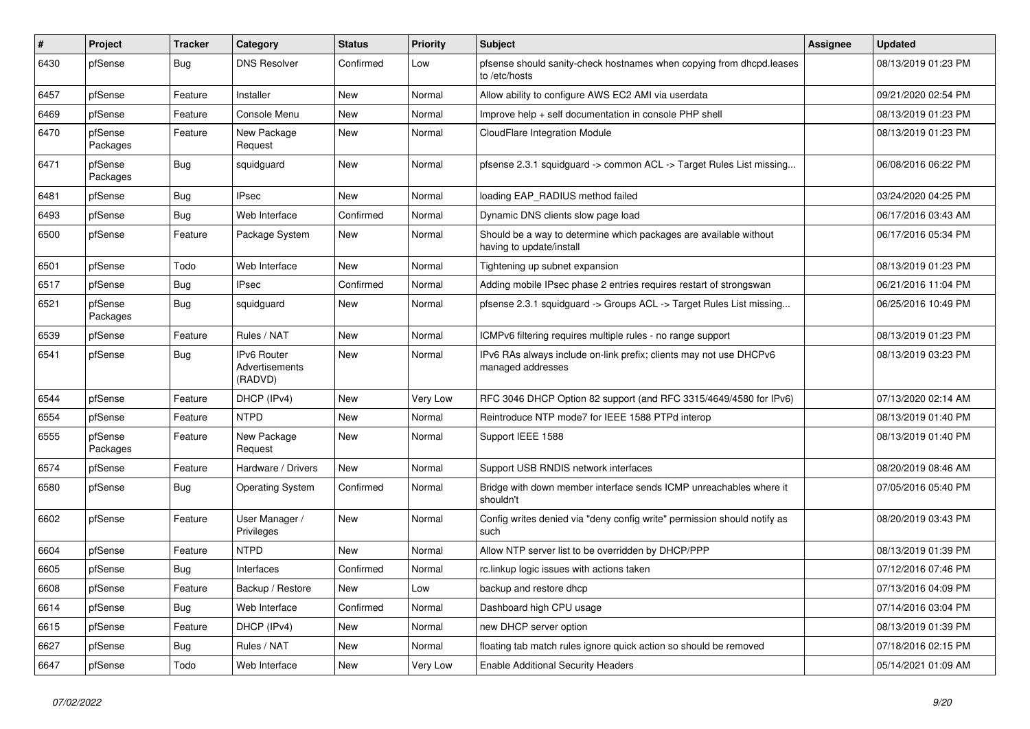| #    | Project             | <b>Tracker</b> | Category                                 | <b>Status</b> | <b>Priority</b> | Subject                                                                                       | Assignee | <b>Updated</b>      |
|------|---------------------|----------------|------------------------------------------|---------------|-----------------|-----------------------------------------------------------------------------------------------|----------|---------------------|
| 6430 | pfSense             | Bug            | <b>DNS Resolver</b>                      | Confirmed     | Low             | pfsense should sanity-check hostnames when copying from dhcpd.leases<br>to /etc/hosts         |          | 08/13/2019 01:23 PM |
| 6457 | pfSense             | Feature        | Installer                                | New           | Normal          | Allow ability to configure AWS EC2 AMI via userdata                                           |          | 09/21/2020 02:54 PM |
| 6469 | pfSense             | Feature        | Console Menu                             | New           | Normal          | Improve help + self documentation in console PHP shell                                        |          | 08/13/2019 01:23 PM |
| 6470 | pfSense<br>Packages | Feature        | New Package<br>Request                   | <b>New</b>    | Normal          | CloudFlare Integration Module                                                                 |          | 08/13/2019 01:23 PM |
| 6471 | pfSense<br>Packages | Bug            | squidguard                               | New           | Normal          | pfsense 2.3.1 squidguard -> common ACL -> Target Rules List missing                           |          | 06/08/2016 06:22 PM |
| 6481 | pfSense             | Bug            | <b>IPsec</b>                             | New           | Normal          | loading EAP_RADIUS method failed                                                              |          | 03/24/2020 04:25 PM |
| 6493 | pfSense             | Bug            | Web Interface                            | Confirmed     | Normal          | Dynamic DNS clients slow page load                                                            |          | 06/17/2016 03:43 AM |
| 6500 | pfSense             | Feature        | Package System                           | New           | Normal          | Should be a way to determine which packages are available without<br>having to update/install |          | 06/17/2016 05:34 PM |
| 6501 | pfSense             | Todo           | Web Interface                            | <b>New</b>    | Normal          | Tightening up subnet expansion                                                                |          | 08/13/2019 01:23 PM |
| 6517 | pfSense             | Bug            | <b>IPsec</b>                             | Confirmed     | Normal          | Adding mobile IPsec phase 2 entries requires restart of strongswan                            |          | 06/21/2016 11:04 PM |
| 6521 | pfSense<br>Packages | Bug            | squidguard                               | New           | Normal          | pfsense 2.3.1 squidguard -> Groups ACL -> Target Rules List missing                           |          | 06/25/2016 10:49 PM |
| 6539 | pfSense             | Feature        | Rules / NAT                              | <b>New</b>    | Normal          | ICMPv6 filtering requires multiple rules - no range support                                   |          | 08/13/2019 01:23 PM |
| 6541 | pfSense             | Bug            | IPv6 Router<br>Advertisements<br>(RADVD) | New           | Normal          | IPv6 RAs always include on-link prefix; clients may not use DHCPv6<br>managed addresses       |          | 08/13/2019 03:23 PM |
| 6544 | pfSense             | Feature        | DHCP (IPv4)                              | <b>New</b>    | Very Low        | RFC 3046 DHCP Option 82 support (and RFC 3315/4649/4580 for IPv6)                             |          | 07/13/2020 02:14 AM |
| 6554 | pfSense             | Feature        | <b>NTPD</b>                              | New           | Normal          | Reintroduce NTP mode7 for IEEE 1588 PTPd interop                                              |          | 08/13/2019 01:40 PM |
| 6555 | pfSense<br>Packages | Feature        | New Package<br>Request                   | New           | Normal          | Support IEEE 1588                                                                             |          | 08/13/2019 01:40 PM |
| 6574 | pfSense             | Feature        | Hardware / Drivers                       | New           | Normal          | Support USB RNDIS network interfaces                                                          |          | 08/20/2019 08:46 AM |
| 6580 | pfSense             | Bug            | <b>Operating System</b>                  | Confirmed     | Normal          | Bridge with down member interface sends ICMP unreachables where it<br>shouldn't               |          | 07/05/2016 05:40 PM |
| 6602 | pfSense             | Feature        | User Manager /<br>Privileges             | <b>New</b>    | Normal          | Config writes denied via "deny config write" permission should notify as<br>such              |          | 08/20/2019 03:43 PM |
| 6604 | pfSense             | Feature        | <b>NTPD</b>                              | New           | Normal          | Allow NTP server list to be overridden by DHCP/PPP                                            |          | 08/13/2019 01:39 PM |
| 6605 | pfSense             | Bug            | Interfaces                               | Confirmed     | Normal          | rc.linkup logic issues with actions taken                                                     |          | 07/12/2016 07:46 PM |
| 6608 | pfSense             | Feature        | Backup / Restore                         | New           | Low             | backup and restore dhcp                                                                       |          | 07/13/2016 04:09 PM |
| 6614 | pfSense             | Bug            | Web Interface                            | Confirmed     | Normal          | Dashboard high CPU usage                                                                      |          | 07/14/2016 03:04 PM |
| 6615 | pfSense             | Feature        | DHCP (IPv4)                              | New           | Normal          | new DHCP server option                                                                        |          | 08/13/2019 01:39 PM |
| 6627 | pfSense             | <b>Bug</b>     | Rules / NAT                              | New           | Normal          | floating tab match rules ignore quick action so should be removed                             |          | 07/18/2016 02:15 PM |
| 6647 | pfSense             | Todo           | Web Interface                            | New           | Very Low        | <b>Enable Additional Security Headers</b>                                                     |          | 05/14/2021 01:09 AM |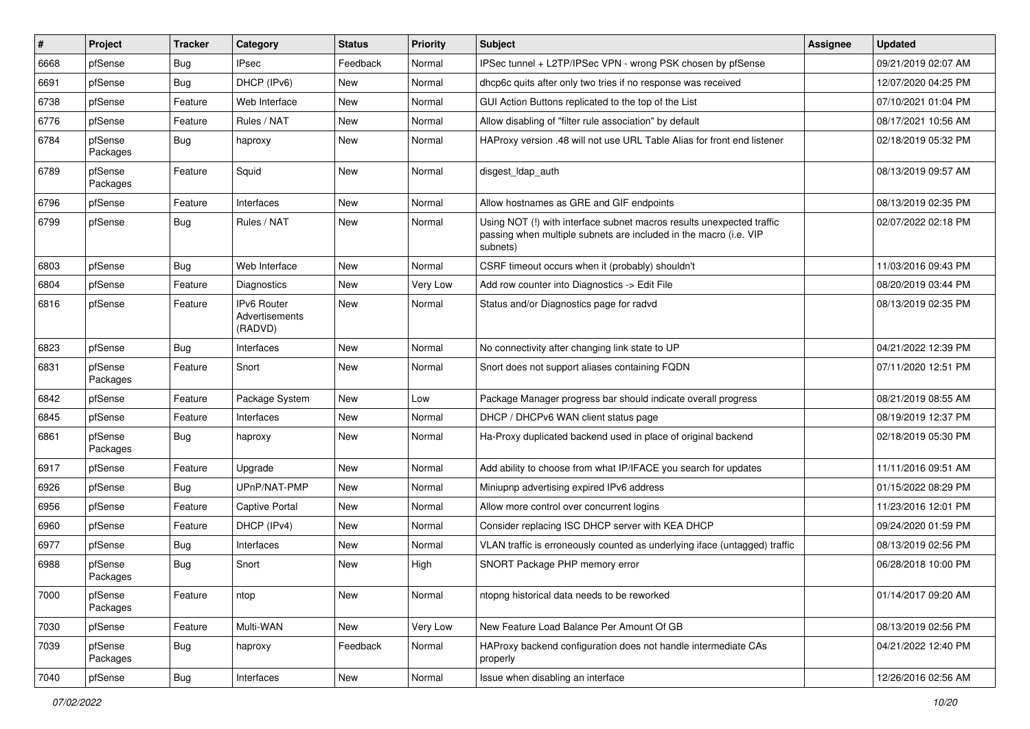| #    | Project             | <b>Tracker</b> | Category                                 | <b>Status</b> | <b>Priority</b> | <b>Subject</b>                                                                                                                                         | <b>Assignee</b> | <b>Updated</b>      |
|------|---------------------|----------------|------------------------------------------|---------------|-----------------|--------------------------------------------------------------------------------------------------------------------------------------------------------|-----------------|---------------------|
| 6668 | pfSense             | Bug            | IPsec                                    | Feedback      | Normal          | IPSec tunnel + L2TP/IPSec VPN - wrong PSK chosen by pfSense                                                                                            |                 | 09/21/2019 02:07 AM |
| 6691 | pfSense             | Bug            | DHCP (IPv6)                              | <b>New</b>    | Normal          | dhcp6c quits after only two tries if no response was received                                                                                          |                 | 12/07/2020 04:25 PM |
| 6738 | pfSense             | Feature        | Web Interface                            | New           | Normal          | GUI Action Buttons replicated to the top of the List                                                                                                   |                 | 07/10/2021 01:04 PM |
| 6776 | pfSense             | Feature        | Rules / NAT                              | New           | Normal          | Allow disabling of "filter rule association" by default                                                                                                |                 | 08/17/2021 10:56 AM |
| 6784 | pfSense<br>Packages | Bug            | haproxy                                  | New           | Normal          | HAProxy version .48 will not use URL Table Alias for front end listener                                                                                |                 | 02/18/2019 05:32 PM |
| 6789 | pfSense<br>Packages | Feature        | Squid                                    | New           | Normal          | disgest_ldap_auth                                                                                                                                      |                 | 08/13/2019 09:57 AM |
| 6796 | pfSense             | Feature        | Interfaces                               | New           | Normal          | Allow hostnames as GRE and GIF endpoints                                                                                                               |                 | 08/13/2019 02:35 PM |
| 6799 | pfSense             | Bug            | Rules / NAT                              | New           | Normal          | Using NOT (!) with interface subnet macros results unexpected traffic<br>passing when multiple subnets are included in the macro (i.e. VIP<br>subnets) |                 | 02/07/2022 02:18 PM |
| 6803 | pfSense             | Bug            | Web Interface                            | New           | Normal          | CSRF timeout occurs when it (probably) shouldn't                                                                                                       |                 | 11/03/2016 09:43 PM |
| 6804 | pfSense             | Feature        | Diagnostics                              | New           | Very Low        | Add row counter into Diagnostics -> Edit File                                                                                                          |                 | 08/20/2019 03:44 PM |
| 6816 | pfSense             | Feature        | IPv6 Router<br>Advertisements<br>(RADVD) | New           | Normal          | Status and/or Diagnostics page for radvd                                                                                                               |                 | 08/13/2019 02:35 PM |
| 6823 | pfSense             | Bug            | Interfaces                               | New           | Normal          | No connectivity after changing link state to UP                                                                                                        |                 | 04/21/2022 12:39 PM |
| 6831 | pfSense<br>Packages | Feature        | Snort                                    | <b>New</b>    | Normal          | Snort does not support aliases containing FQDN                                                                                                         |                 | 07/11/2020 12:51 PM |
| 6842 | pfSense             | Feature        | Package System                           | New           | Low             | Package Manager progress bar should indicate overall progress                                                                                          |                 | 08/21/2019 08:55 AM |
| 6845 | pfSense             | Feature        | Interfaces                               | New           | Normal          | DHCP / DHCPv6 WAN client status page                                                                                                                   |                 | 08/19/2019 12:37 PM |
| 6861 | pfSense<br>Packages | Bug            | haproxy                                  | New           | Normal          | Ha-Proxy duplicated backend used in place of original backend                                                                                          |                 | 02/18/2019 05:30 PM |
| 6917 | pfSense             | Feature        | Upgrade                                  | New           | Normal          | Add ability to choose from what IP/IFACE you search for updates                                                                                        |                 | 11/11/2016 09:51 AM |
| 6926 | pfSense             | Bug            | UPnP/NAT-PMP                             | New           | Normal          | Miniupnp advertising expired IPv6 address                                                                                                              |                 | 01/15/2022 08:29 PM |
| 6956 | pfSense             | Feature        | <b>Captive Portal</b>                    | New           | Normal          | Allow more control over concurrent logins                                                                                                              |                 | 11/23/2016 12:01 PM |
| 6960 | pfSense             | Feature        | DHCP (IPv4)                              | New           | Normal          | Consider replacing ISC DHCP server with KEA DHCP                                                                                                       |                 | 09/24/2020 01:59 PM |
| 6977 | pfSense             | Bug            | Interfaces                               | New           | Normal          | VLAN traffic is erroneously counted as underlying iface (untagged) traffic                                                                             |                 | 08/13/2019 02:56 PM |
| 6988 | pfSense<br>Packages | Bug            | Snort                                    | New           | High            | SNORT Package PHP memory error                                                                                                                         |                 | 06/28/2018 10:00 PM |
| 7000 | pfSense<br>Packages | Feature        | ntop                                     | New           | Normal          | ntopng historical data needs to be reworked                                                                                                            |                 | 01/14/2017 09:20 AM |
| 7030 | pfSense             | Feature        | Multi-WAN                                | New           | Very Low        | New Feature Load Balance Per Amount Of GB                                                                                                              |                 | 08/13/2019 02:56 PM |
| 7039 | pfSense<br>Packages | Bug            | haproxy                                  | Feedback      | Normal          | HAProxy backend configuration does not handle intermediate CAs<br>properly                                                                             |                 | 04/21/2022 12:40 PM |
| 7040 | pfSense             | <b>Bug</b>     | Interfaces                               | New           | Normal          | Issue when disabling an interface                                                                                                                      |                 | 12/26/2016 02:56 AM |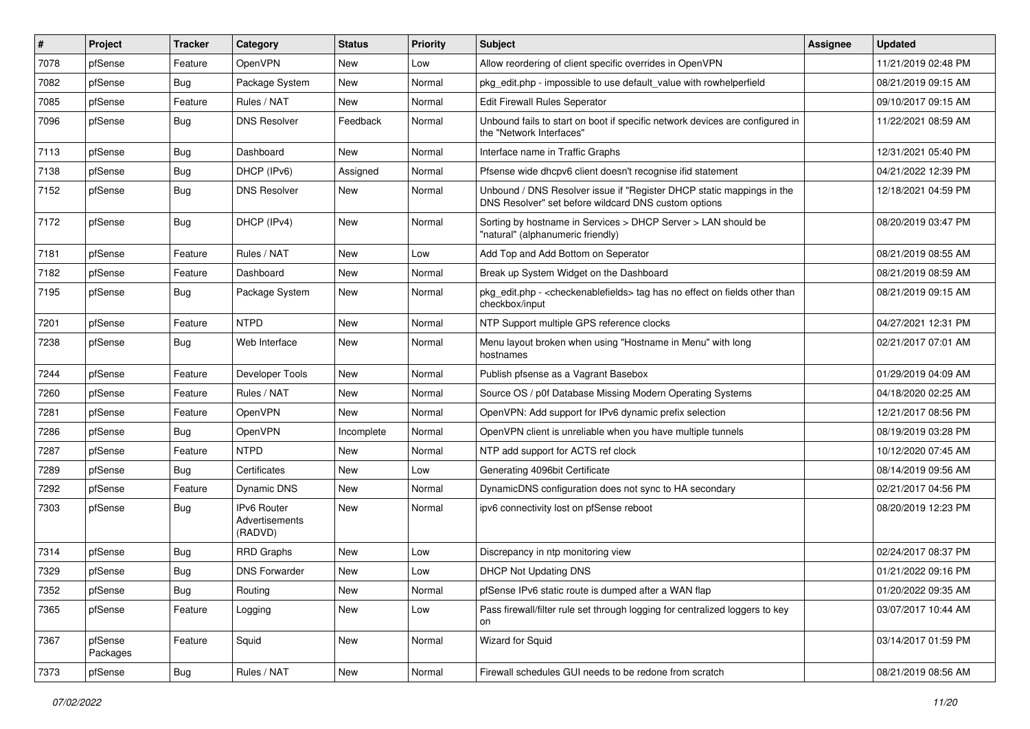| #    | Project             | <b>Tracker</b> | Category                                        | <b>Status</b> | <b>Priority</b> | <b>Subject</b>                                                                                                                | <b>Assignee</b> | <b>Updated</b>      |
|------|---------------------|----------------|-------------------------------------------------|---------------|-----------------|-------------------------------------------------------------------------------------------------------------------------------|-----------------|---------------------|
| 7078 | pfSense             | Feature        | OpenVPN                                         | New           | Low             | Allow reordering of client specific overrides in OpenVPN                                                                      |                 | 11/21/2019 02:48 PM |
| 7082 | pfSense             | Bug            | Package System                                  | <b>New</b>    | Normal          | pkg edit.php - impossible to use default value with rowhelperfield                                                            |                 | 08/21/2019 09:15 AM |
| 7085 | pfSense             | Feature        | Rules / NAT                                     | New           | Normal          | Edit Firewall Rules Seperator                                                                                                 |                 | 09/10/2017 09:15 AM |
| 7096 | pfSense             | Bug            | <b>DNS Resolver</b>                             | Feedback      | Normal          | Unbound fails to start on boot if specific network devices are configured in<br>the "Network Interfaces"                      |                 | 11/22/2021 08:59 AM |
| 7113 | pfSense             | Bug            | Dashboard                                       | New           | Normal          | Interface name in Traffic Graphs                                                                                              |                 | 12/31/2021 05:40 PM |
| 7138 | pfSense             | Bug            | DHCP (IPv6)                                     | Assigned      | Normal          | Pfsense wide dhcpv6 client doesn't recognise ifid statement                                                                   |                 | 04/21/2022 12:39 PM |
| 7152 | pfSense             | <b>Bug</b>     | <b>DNS Resolver</b>                             | New           | Normal          | Unbound / DNS Resolver issue if "Register DHCP static mappings in the<br>DNS Resolver" set before wildcard DNS custom options |                 | 12/18/2021 04:59 PM |
| 7172 | pfSense             | Bug            | DHCP (IPv4)                                     | New           | Normal          | Sorting by hostname in Services > DHCP Server > LAN should be<br>"natural" (alphanumeric friendly)                            |                 | 08/20/2019 03:47 PM |
| 7181 | pfSense             | Feature        | Rules / NAT                                     | New           | Low             | Add Top and Add Bottom on Seperator                                                                                           |                 | 08/21/2019 08:55 AM |
| 7182 | pfSense             | Feature        | Dashboard                                       | New           | Normal          | Break up System Widget on the Dashboard                                                                                       |                 | 08/21/2019 08:59 AM |
| 7195 | pfSense             | Bug            | Package System                                  | New           | Normal          | pkg_edit.php - < checkenablefields> tag has no effect on fields other than<br>checkbox/input                                  |                 | 08/21/2019 09:15 AM |
| 7201 | pfSense             | Feature        | <b>NTPD</b>                                     | New           | Normal          | NTP Support multiple GPS reference clocks                                                                                     |                 | 04/27/2021 12:31 PM |
| 7238 | pfSense             | Bug            | Web Interface                                   | New           | Normal          | Menu layout broken when using "Hostname in Menu" with long<br>hostnames                                                       |                 | 02/21/2017 07:01 AM |
| 7244 | pfSense             | Feature        | Developer Tools                                 | <b>New</b>    | Normal          | Publish pfsense as a Vagrant Basebox                                                                                          |                 | 01/29/2019 04:09 AM |
| 7260 | pfSense             | Feature        | Rules / NAT                                     | New           | Normal          | Source OS / p0f Database Missing Modern Operating Systems                                                                     |                 | 04/18/2020 02:25 AM |
| 7281 | pfSense             | Feature        | OpenVPN                                         | New           | Normal          | OpenVPN: Add support for IPv6 dynamic prefix selection                                                                        |                 | 12/21/2017 08:56 PM |
| 7286 | pfSense             | Bug            | OpenVPN                                         | Incomplete    | Normal          | OpenVPN client is unreliable when you have multiple tunnels                                                                   |                 | 08/19/2019 03:28 PM |
| 7287 | pfSense             | Feature        | <b>NTPD</b>                                     | New           | Normal          | NTP add support for ACTS ref clock                                                                                            |                 | 10/12/2020 07:45 AM |
| 7289 | pfSense             | Bug            | Certificates                                    | New           | Low             | Generating 4096bit Certificate                                                                                                |                 | 08/14/2019 09:56 AM |
| 7292 | pfSense             | Feature        | Dynamic DNS                                     | New           | Normal          | DynamicDNS configuration does not sync to HA secondary                                                                        |                 | 02/21/2017 04:56 PM |
| 7303 | pfSense             | <b>Bug</b>     | <b>IPv6 Router</b><br>Advertisements<br>(RADVD) | New           | Normal          | ipv6 connectivity lost on pfSense reboot                                                                                      |                 | 08/20/2019 12:23 PM |
| 7314 | pfSense             | Bug            | <b>RRD Graphs</b>                               | New           | Low             | Discrepancy in ntp monitoring view                                                                                            |                 | 02/24/2017 08:37 PM |
| 7329 | pfSense             | Bug            | <b>DNS Forwarder</b>                            | New           | Low             | <b>DHCP Not Updating DNS</b>                                                                                                  |                 | 01/21/2022 09:16 PM |
| 7352 | pfSense             | <b>Bug</b>     | Routing                                         | New           | Normal          | pfSense IPv6 static route is dumped after a WAN flap                                                                          |                 | 01/20/2022 09:35 AM |
| 7365 | pfSense             | Feature        | Logging                                         | New           | Low             | Pass firewall/filter rule set through logging for centralized loggers to key<br>on                                            |                 | 03/07/2017 10:44 AM |
| 7367 | pfSense<br>Packages | Feature        | Squid                                           | New           | Normal          | Wizard for Squid                                                                                                              |                 | 03/14/2017 01:59 PM |
| 7373 | pfSense             | <b>Bug</b>     | Rules / NAT                                     | New           | Normal          | Firewall schedules GUI needs to be redone from scratch                                                                        |                 | 08/21/2019 08:56 AM |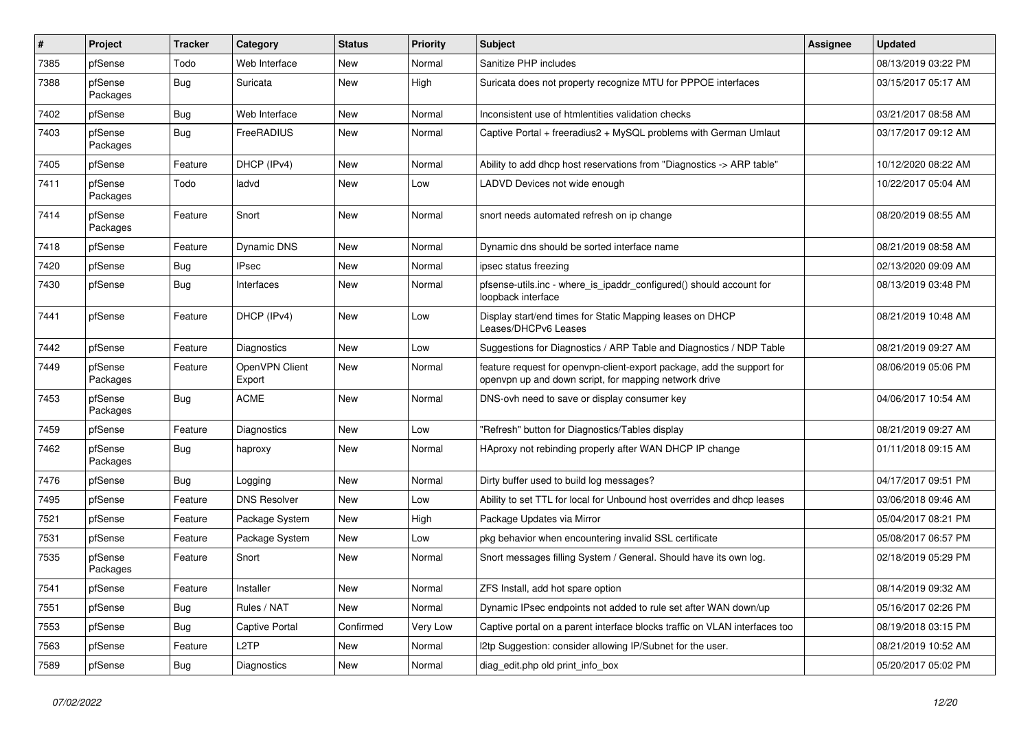| #    | Project             | <b>Tracker</b> | Category                 | <b>Status</b> | <b>Priority</b> | <b>Subject</b>                                                                                                                  | <b>Assignee</b> | <b>Updated</b>      |
|------|---------------------|----------------|--------------------------|---------------|-----------------|---------------------------------------------------------------------------------------------------------------------------------|-----------------|---------------------|
| 7385 | pfSense             | Todo           | Web Interface            | New           | Normal          | Sanitize PHP includes                                                                                                           |                 | 08/13/2019 03:22 PM |
| 7388 | pfSense<br>Packages | Bug            | Suricata                 | <b>New</b>    | High            | Suricata does not property recognize MTU for PPPOE interfaces                                                                   |                 | 03/15/2017 05:17 AM |
| 7402 | pfSense             | Bug            | Web Interface            | <b>New</b>    | Normal          | Inconsistent use of htmlentities validation checks                                                                              |                 | 03/21/2017 08:58 AM |
| 7403 | pfSense<br>Packages | Bug            | FreeRADIUS               | New           | Normal          | Captive Portal + freeradius2 + MySQL problems with German Umlaut                                                                |                 | 03/17/2017 09:12 AM |
| 7405 | pfSense             | Feature        | DHCP (IPv4)              | New           | Normal          | Ability to add dhcp host reservations from "Diagnostics -> ARP table"                                                           |                 | 10/12/2020 08:22 AM |
| 7411 | pfSense<br>Packages | Todo           | ladvd                    | <b>New</b>    | Low             | LADVD Devices not wide enough                                                                                                   |                 | 10/22/2017 05:04 AM |
| 7414 | pfSense<br>Packages | Feature        | Snort                    | New           | Normal          | snort needs automated refresh on ip change                                                                                      |                 | 08/20/2019 08:55 AM |
| 7418 | pfSense             | Feature        | Dynamic DNS              | <b>New</b>    | Normal          | Dynamic dns should be sorted interface name                                                                                     |                 | 08/21/2019 08:58 AM |
| 7420 | pfSense             | Bug            | <b>IPsec</b>             | New           | Normal          | ipsec status freezing                                                                                                           |                 | 02/13/2020 09:09 AM |
| 7430 | pfSense             | Bug            | Interfaces               | New           | Normal          | pfsense-utils.inc - where_is_ipaddr_configured() should account for<br>loopback interface                                       |                 | 08/13/2019 03:48 PM |
| 7441 | pfSense             | Feature        | DHCP (IPv4)              | <b>New</b>    | Low             | Display start/end times for Static Mapping leases on DHCP<br>Leases/DHCPv6 Leases                                               |                 | 08/21/2019 10:48 AM |
| 7442 | pfSense             | Feature        | <b>Diagnostics</b>       | <b>New</b>    | Low             | Suggestions for Diagnostics / ARP Table and Diagnostics / NDP Table                                                             |                 | 08/21/2019 09:27 AM |
| 7449 | pfSense<br>Packages | Feature        | OpenVPN Client<br>Export | New           | Normal          | feature request for openvpn-client-export package, add the support for<br>openvpn up and down script, for mapping network drive |                 | 08/06/2019 05:06 PM |
| 7453 | pfSense<br>Packages | Bug            | <b>ACME</b>              | <b>New</b>    | Normal          | DNS-ovh need to save or display consumer key                                                                                    |                 | 04/06/2017 10:54 AM |
| 7459 | pfSense             | Feature        | <b>Diagnostics</b>       | New           | Low             | "Refresh" button for Diagnostics/Tables display                                                                                 |                 | 08/21/2019 09:27 AM |
| 7462 | pfSense<br>Packages | Bug            | haproxy                  | <b>New</b>    | Normal          | HAproxy not rebinding properly after WAN DHCP IP change                                                                         |                 | 01/11/2018 09:15 AM |
| 7476 | pfSense             | Bug            | Logging                  | New           | Normal          | Dirty buffer used to build log messages?                                                                                        |                 | 04/17/2017 09:51 PM |
| 7495 | pfSense             | Feature        | <b>DNS Resolver</b>      | <b>New</b>    | Low             | Ability to set TTL for local for Unbound host overrides and dhcp leases                                                         |                 | 03/06/2018 09:46 AM |
| 7521 | pfSense             | Feature        | Package System           | New           | High            | Package Updates via Mirror                                                                                                      |                 | 05/04/2017 08:21 PM |
| 7531 | pfSense             | Feature        | Package System           | New           | Low             | pkg behavior when encountering invalid SSL certificate                                                                          |                 | 05/08/2017 06:57 PM |
| 7535 | pfSense<br>Packages | Feature        | Snort                    | New           | Normal          | Snort messages filling System / General. Should have its own log.                                                               |                 | 02/18/2019 05:29 PM |
| 7541 | pfSense             | Feature        | Installer                | New           | Normal          | ZFS Install, add hot spare option                                                                                               |                 | 08/14/2019 09:32 AM |
| 7551 | pfSense             | <b>Bug</b>     | Rules / NAT              | New           | Normal          | Dynamic IPsec endpoints not added to rule set after WAN down/up                                                                 |                 | 05/16/2017 02:26 PM |
| 7553 | pfSense             | <b>Bug</b>     | Captive Portal           | Confirmed     | Very Low        | Captive portal on a parent interface blocks traffic on VLAN interfaces too                                                      |                 | 08/19/2018 03:15 PM |
| 7563 | pfSense             | Feature        | L <sub>2</sub> TP        | New           | Normal          | I2tp Suggestion: consider allowing IP/Subnet for the user.                                                                      |                 | 08/21/2019 10:52 AM |
| 7589 | pfSense             | <b>Bug</b>     | Diagnostics              | New           | Normal          | diag_edit.php old print_info_box                                                                                                |                 | 05/20/2017 05:02 PM |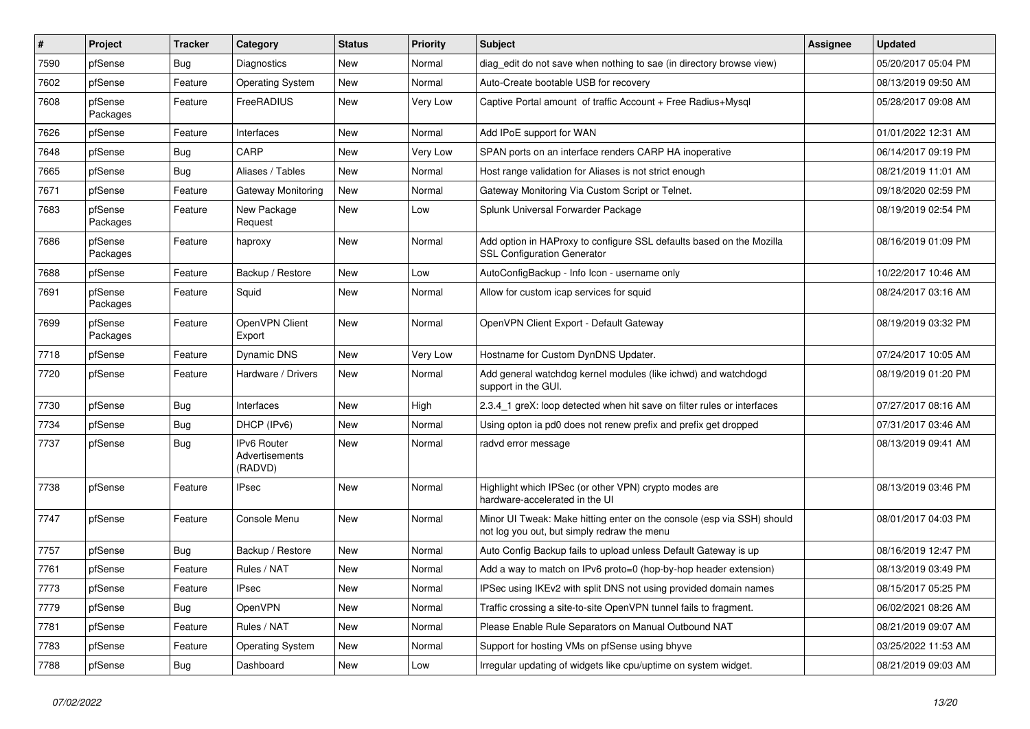| $\vert$ # | Project             | <b>Tracker</b> | Category                                 | <b>Status</b> | Priority | Subject                                                                                                               | <b>Assignee</b> | <b>Updated</b>      |
|-----------|---------------------|----------------|------------------------------------------|---------------|----------|-----------------------------------------------------------------------------------------------------------------------|-----------------|---------------------|
| 7590      | pfSense             | Bug            | Diagnostics                              | New           | Normal   | diag edit do not save when nothing to sae (in directory browse view)                                                  |                 | 05/20/2017 05:04 PM |
| 7602      | pfSense             | Feature        | <b>Operating System</b>                  | <b>New</b>    | Normal   | Auto-Create bootable USB for recovery                                                                                 |                 | 08/13/2019 09:50 AM |
| 7608      | pfSense<br>Packages | Feature        | FreeRADIUS                               | New           | Very Low | Captive Portal amount of traffic Account + Free Radius+Mysql                                                          |                 | 05/28/2017 09:08 AM |
| 7626      | pfSense             | Feature        | Interfaces                               | <b>New</b>    | Normal   | Add IPoE support for WAN                                                                                              |                 | 01/01/2022 12:31 AM |
| 7648      | pfSense             | Bug            | CARP                                     | New           | Very Low | SPAN ports on an interface renders CARP HA inoperative                                                                |                 | 06/14/2017 09:19 PM |
| 7665      | pfSense             | Bug            | Aliases / Tables                         | <b>New</b>    | Normal   | Host range validation for Aliases is not strict enough                                                                |                 | 08/21/2019 11:01 AM |
| 7671      | pfSense             | Feature        | Gateway Monitoring                       | <b>New</b>    | Normal   | Gateway Monitoring Via Custom Script or Telnet.                                                                       |                 | 09/18/2020 02:59 PM |
| 7683      | pfSense<br>Packages | Feature        | New Package<br>Request                   | New           | Low      | Splunk Universal Forwarder Package                                                                                    |                 | 08/19/2019 02:54 PM |
| 7686      | pfSense<br>Packages | Feature        | haproxy                                  | New           | Normal   | Add option in HAProxy to configure SSL defaults based on the Mozilla<br><b>SSL Configuration Generator</b>            |                 | 08/16/2019 01:09 PM |
| 7688      | pfSense             | Feature        | Backup / Restore                         | <b>New</b>    | Low      | AutoConfigBackup - Info Icon - username only                                                                          |                 | 10/22/2017 10:46 AM |
| 7691      | pfSense<br>Packages | Feature        | Squid                                    | New           | Normal   | Allow for custom icap services for squid                                                                              |                 | 08/24/2017 03:16 AM |
| 7699      | pfSense<br>Packages | Feature        | OpenVPN Client<br>Export                 | <b>New</b>    | Normal   | OpenVPN Client Export - Default Gateway                                                                               |                 | 08/19/2019 03:32 PM |
| 7718      | pfSense             | Feature        | Dynamic DNS                              | <b>New</b>    | Very Low | Hostname for Custom DynDNS Updater.                                                                                   |                 | 07/24/2017 10:05 AM |
| 7720      | pfSense             | Feature        | Hardware / Drivers                       | <b>New</b>    | Normal   | Add general watchdog kernel modules (like ichwd) and watchdogd<br>support in the GUI.                                 |                 | 08/19/2019 01:20 PM |
| 7730      | pfSense             | Bug            | Interfaces                               | <b>New</b>    | High     | 2.3.4_1 greX: loop detected when hit save on filter rules or interfaces                                               |                 | 07/27/2017 08:16 AM |
| 7734      | pfSense             | Bug            | DHCP (IPv6)                              | New           | Normal   | Using opton ia pd0 does not renew prefix and prefix get dropped                                                       |                 | 07/31/2017 03:46 AM |
| 7737      | pfSense             | Bug            | IPv6 Router<br>Advertisements<br>(RADVD) | <b>New</b>    | Normal   | radvd error message                                                                                                   |                 | 08/13/2019 09:41 AM |
| 7738      | pfSense             | Feature        | IPsec                                    | <b>New</b>    | Normal   | Highlight which IPSec (or other VPN) crypto modes are<br>hardware-accelerated in the UI                               |                 | 08/13/2019 03:46 PM |
| 7747      | pfSense             | Feature        | Console Menu                             | New           | Normal   | Minor UI Tweak: Make hitting enter on the console (esp via SSH) should<br>not log you out, but simply redraw the menu |                 | 08/01/2017 04:03 PM |
| 7757      | pfSense             | <b>Bug</b>     | Backup / Restore                         | <b>New</b>    | Normal   | Auto Config Backup fails to upload unless Default Gateway is up                                                       |                 | 08/16/2019 12:47 PM |
| 7761      | pfSense             | Feature        | Rules / NAT                              | New           | Normal   | Add a way to match on IPv6 proto=0 (hop-by-hop header extension)                                                      |                 | 08/13/2019 03:49 PM |
| 7773      | pfSense             | Feature        | <b>IPsec</b>                             | New           | Normal   | IPSec using IKEv2 with split DNS not using provided domain names                                                      |                 | 08/15/2017 05:25 PM |
| 7779      | pfSense             | Bug            | OpenVPN                                  | New           | Normal   | Traffic crossing a site-to-site OpenVPN tunnel fails to fragment.                                                     |                 | 06/02/2021 08:26 AM |
| 7781      | pfSense             | Feature        | Rules / NAT                              | New           | Normal   | Please Enable Rule Separators on Manual Outbound NAT                                                                  |                 | 08/21/2019 09:07 AM |
| 7783      | pfSense             | Feature        | <b>Operating System</b>                  | New           | Normal   | Support for hosting VMs on pfSense using bhyve                                                                        |                 | 03/25/2022 11:53 AM |
| 7788      | pfSense             | Bug            | Dashboard                                | New           | Low      | Irregular updating of widgets like cpu/uptime on system widget.                                                       |                 | 08/21/2019 09:03 AM |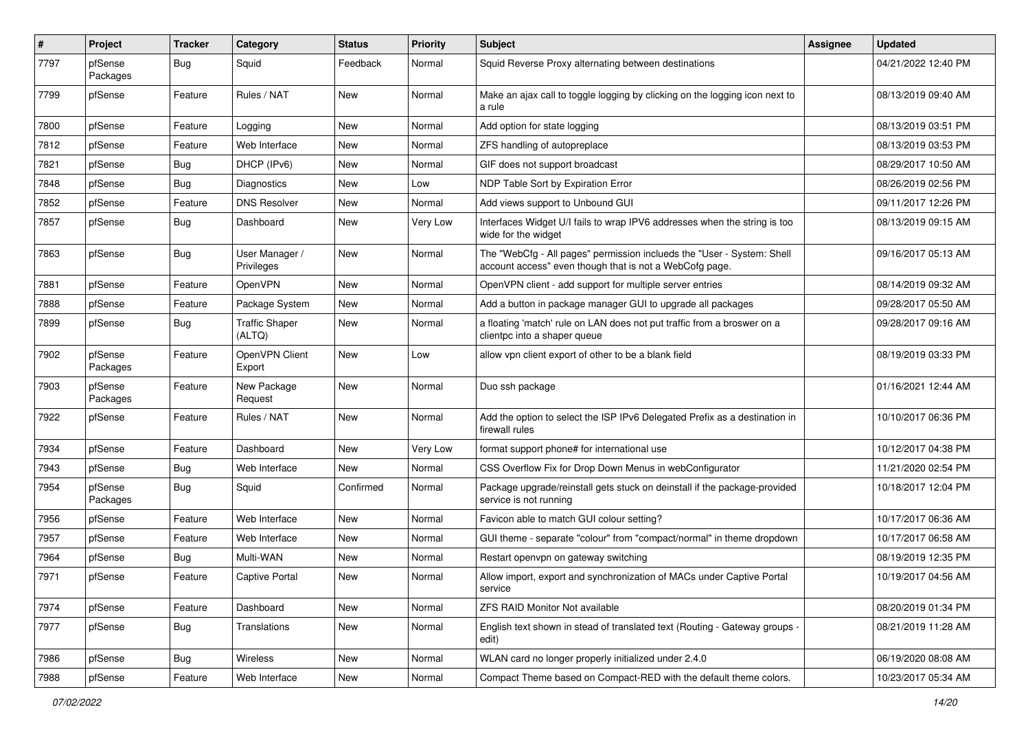| $\vert$ # | Project             | <b>Tracker</b> | Category                        | <b>Status</b> | <b>Priority</b> | <b>Subject</b>                                                                                                                    | <b>Assignee</b> | <b>Updated</b>      |
|-----------|---------------------|----------------|---------------------------------|---------------|-----------------|-----------------------------------------------------------------------------------------------------------------------------------|-----------------|---------------------|
| 7797      | pfSense<br>Packages | Bug            | Squid                           | Feedback      | Normal          | Squid Reverse Proxy alternating between destinations                                                                              |                 | 04/21/2022 12:40 PM |
| 7799      | pfSense             | Feature        | Rules / NAT                     | <b>New</b>    | Normal          | Make an ajax call to toggle logging by clicking on the logging icon next to<br>a rule                                             |                 | 08/13/2019 09:40 AM |
| 7800      | pfSense             | Feature        | Logging                         | <b>New</b>    | Normal          | Add option for state logging                                                                                                      |                 | 08/13/2019 03:51 PM |
| 7812      | pfSense             | Feature        | Web Interface                   | <b>New</b>    | Normal          | ZFS handling of autopreplace                                                                                                      |                 | 08/13/2019 03:53 PM |
| 7821      | pfSense             | <b>Bug</b>     | DHCP (IPv6)                     | <b>New</b>    | Normal          | GIF does not support broadcast                                                                                                    |                 | 08/29/2017 10:50 AM |
| 7848      | pfSense             | <b>Bug</b>     | Diagnostics                     | New           | Low             | NDP Table Sort by Expiration Error                                                                                                |                 | 08/26/2019 02:56 PM |
| 7852      | pfSense             | Feature        | <b>DNS Resolver</b>             | New           | Normal          | Add views support to Unbound GUI                                                                                                  |                 | 09/11/2017 12:26 PM |
| 7857      | pfSense             | <b>Bug</b>     | Dashboard                       | <b>New</b>    | Very Low        | Interfaces Widget U/I fails to wrap IPV6 addresses when the string is too<br>wide for the widget                                  |                 | 08/13/2019 09:15 AM |
| 7863      | pfSense             | Bug            | User Manager /<br>Privileges    | New           | Normal          | The "WebCfg - All pages" permission inclueds the "User - System: Shell<br>account access" even though that is not a WebCofg page. |                 | 09/16/2017 05:13 AM |
| 7881      | pfSense             | Feature        | OpenVPN                         | New           | Normal          | OpenVPN client - add support for multiple server entries                                                                          |                 | 08/14/2019 09:32 AM |
| 7888      | pfSense             | Feature        | Package System                  | <b>New</b>    | Normal          | Add a button in package manager GUI to upgrade all packages                                                                       |                 | 09/28/2017 05:50 AM |
| 7899      | pfSense             | Bug            | <b>Traffic Shaper</b><br>(ALTQ) | New           | Normal          | a floating 'match' rule on LAN does not put traffic from a broswer on a<br>clientpc into a shaper queue                           |                 | 09/28/2017 09:16 AM |
| 7902      | pfSense<br>Packages | Feature        | OpenVPN Client<br>Export        | <b>New</b>    | Low             | allow vpn client export of other to be a blank field                                                                              |                 | 08/19/2019 03:33 PM |
| 7903      | pfSense<br>Packages | Feature        | New Package<br>Request          | <b>New</b>    | Normal          | Duo ssh package                                                                                                                   |                 | 01/16/2021 12:44 AM |
| 7922      | pfSense             | Feature        | Rules / NAT                     | New           | Normal          | Add the option to select the ISP IPv6 Delegated Prefix as a destination in<br>firewall rules                                      |                 | 10/10/2017 06:36 PM |
| 7934      | pfSense             | Feature        | Dashboard                       | <b>New</b>    | Very Low        | format support phone# for international use                                                                                       |                 | 10/12/2017 04:38 PM |
| 7943      | pfSense             | Bug            | Web Interface                   | New           | Normal          | CSS Overflow Fix for Drop Down Menus in webConfigurator                                                                           |                 | 11/21/2020 02:54 PM |
| 7954      | pfSense<br>Packages | Bug            | Squid                           | Confirmed     | Normal          | Package upgrade/reinstall gets stuck on deinstall if the package-provided<br>service is not running                               |                 | 10/18/2017 12:04 PM |
| 7956      | pfSense             | Feature        | Web Interface                   | <b>New</b>    | Normal          | Favicon able to match GUI colour setting?                                                                                         |                 | 10/17/2017 06:36 AM |
| 7957      | pfSense             | Feature        | Web Interface                   | <b>New</b>    | Normal          | GUI theme - separate "colour" from "compact/normal" in theme dropdown                                                             |                 | 10/17/2017 06:58 AM |
| 7964      | pfSense             | Bug            | Multi-WAN                       | New           | Normal          | Restart openvpn on gateway switching                                                                                              |                 | 08/19/2019 12:35 PM |
| 7971      | pfSense             | Feature        | Captive Portal                  | New           | Normal          | Allow import, export and synchronization of MACs under Captive Portal<br>service                                                  |                 | 10/19/2017 04:56 AM |
| 7974      | pfSense             | Feature        | Dashboard                       | New           | Normal          | <b>ZFS RAID Monitor Not available</b>                                                                                             |                 | 08/20/2019 01:34 PM |
| 7977      | pfSense             | Bug            | Translations                    | New           | Normal          | English text shown in stead of translated text (Routing - Gateway groups -<br>edit)                                               |                 | 08/21/2019 11:28 AM |
| 7986      | pfSense             | Bug            | Wireless                        | New           | Normal          | WLAN card no longer properly initialized under 2.4.0                                                                              |                 | 06/19/2020 08:08 AM |
| 7988      | pfSense             | Feature        | Web Interface                   | New           | Normal          | Compact Theme based on Compact-RED with the default theme colors.                                                                 |                 | 10/23/2017 05:34 AM |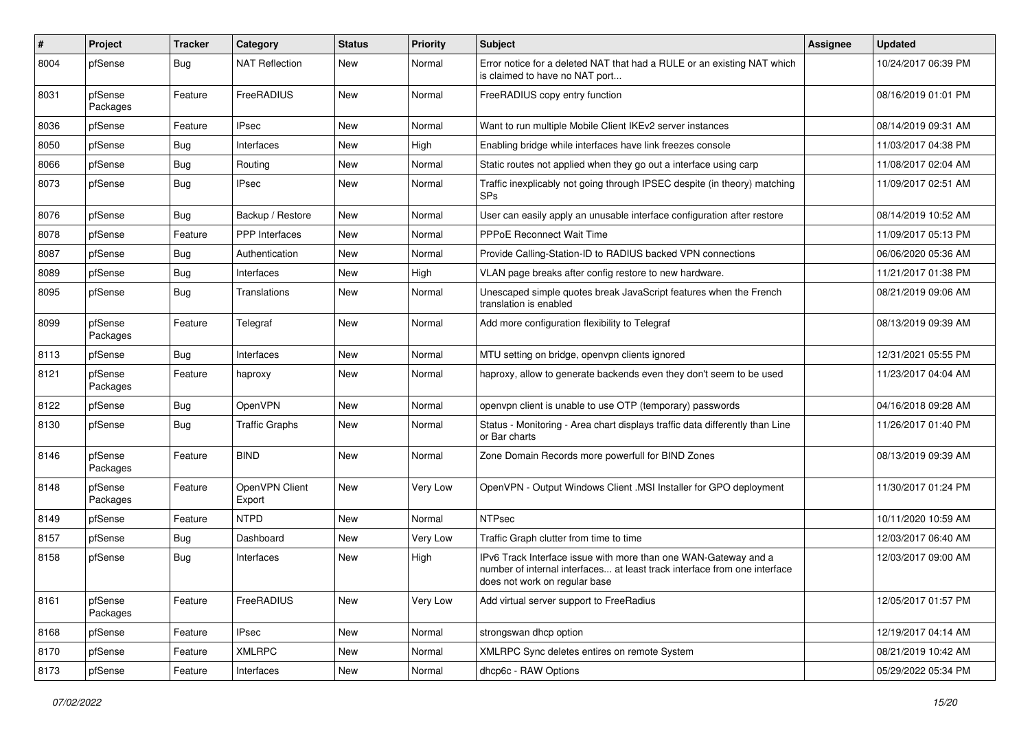| ∦    | Project             | <b>Tracker</b> | Category                 | <b>Status</b> | <b>Priority</b> | <b>Subject</b>                                                                                                                                                                | Assignee | <b>Updated</b>      |
|------|---------------------|----------------|--------------------------|---------------|-----------------|-------------------------------------------------------------------------------------------------------------------------------------------------------------------------------|----------|---------------------|
| 8004 | pfSense             | Bug            | <b>NAT Reflection</b>    | New           | Normal          | Error notice for a deleted NAT that had a RULE or an existing NAT which<br>is claimed to have no NAT port                                                                     |          | 10/24/2017 06:39 PM |
| 8031 | pfSense<br>Packages | Feature        | FreeRADIUS               | <b>New</b>    | Normal          | FreeRADIUS copy entry function                                                                                                                                                |          | 08/16/2019 01:01 PM |
| 8036 | pfSense             | Feature        | <b>IPsec</b>             | <b>New</b>    | Normal          | Want to run multiple Mobile Client IKEv2 server instances                                                                                                                     |          | 08/14/2019 09:31 AM |
| 8050 | pfSense             | <b>Bug</b>     | Interfaces               | New           | High            | Enabling bridge while interfaces have link freezes console                                                                                                                    |          | 11/03/2017 04:38 PM |
| 8066 | pfSense             | Bug            | Routing                  | <b>New</b>    | Normal          | Static routes not applied when they go out a interface using carp                                                                                                             |          | 11/08/2017 02:04 AM |
| 8073 | pfSense             | Bug            | <b>IPsec</b>             | New           | Normal          | Traffic inexplicably not going through IPSEC despite (in theory) matching<br><b>SPs</b>                                                                                       |          | 11/09/2017 02:51 AM |
| 8076 | pfSense             | Bug            | Backup / Restore         | <b>New</b>    | Normal          | User can easily apply an unusable interface configuration after restore                                                                                                       |          | 08/14/2019 10:52 AM |
| 8078 | pfSense             | Feature        | <b>PPP</b> Interfaces    | New           | Normal          | <b>PPPoE Reconnect Wait Time</b>                                                                                                                                              |          | 11/09/2017 05:13 PM |
| 8087 | pfSense             | <b>Bug</b>     | Authentication           | New           | Normal          | Provide Calling-Station-ID to RADIUS backed VPN connections                                                                                                                   |          | 06/06/2020 05:36 AM |
| 8089 | pfSense             | Bug            | Interfaces               | New           | High            | VLAN page breaks after config restore to new hardware.                                                                                                                        |          | 11/21/2017 01:38 PM |
| 8095 | pfSense             | Bug            | Translations             | New           | Normal          | Unescaped simple quotes break JavaScript features when the French<br>translation is enabled                                                                                   |          | 08/21/2019 09:06 AM |
| 8099 | pfSense<br>Packages | Feature        | Telegraf                 | New           | Normal          | Add more configuration flexibility to Telegraf                                                                                                                                |          | 08/13/2019 09:39 AM |
| 8113 | pfSense             | Bug            | Interfaces               | <b>New</b>    | Normal          | MTU setting on bridge, openvpn clients ignored                                                                                                                                |          | 12/31/2021 05:55 PM |
| 8121 | pfSense<br>Packages | Feature        | haproxy                  | New           | Normal          | haproxy, allow to generate backends even they don't seem to be used                                                                                                           |          | 11/23/2017 04:04 AM |
| 8122 | pfSense             | Bug            | OpenVPN                  | New           | Normal          | openvpn client is unable to use OTP (temporary) passwords                                                                                                                     |          | 04/16/2018 09:28 AM |
| 8130 | pfSense             | Bug            | <b>Traffic Graphs</b>    | New           | Normal          | Status - Monitoring - Area chart displays traffic data differently than Line<br>or Bar charts                                                                                 |          | 11/26/2017 01:40 PM |
| 8146 | pfSense<br>Packages | Feature        | <b>BIND</b>              | <b>New</b>    | Normal          | Zone Domain Records more powerfull for BIND Zones                                                                                                                             |          | 08/13/2019 09:39 AM |
| 8148 | pfSense<br>Packages | Feature        | OpenVPN Client<br>Export | <b>New</b>    | Very Low        | OpenVPN - Output Windows Client .MSI Installer for GPO deployment                                                                                                             |          | 11/30/2017 01:24 PM |
| 8149 | pfSense             | Feature        | NTPD                     | New           | Normal          | <b>NTPsec</b>                                                                                                                                                                 |          | 10/11/2020 10:59 AM |
| 8157 | pfSense             | <b>Bug</b>     | Dashboard                | <b>New</b>    | Very Low        | Traffic Graph clutter from time to time                                                                                                                                       |          | 12/03/2017 06:40 AM |
| 8158 | pfSense             | Bug            | Interfaces               | <b>New</b>    | High            | IPv6 Track Interface issue with more than one WAN-Gateway and a<br>number of internal interfaces at least track interface from one interface<br>does not work on regular base |          | 12/03/2017 09:00 AM |
| 8161 | pfSense<br>Packages | Feature        | FreeRADIUS               | New           | Very Low        | Add virtual server support to FreeRadius                                                                                                                                      |          | 12/05/2017 01:57 PM |
| 8168 | pfSense             | Feature        | IPsec                    | New           | Normal          | strongswan dhcp option                                                                                                                                                        |          | 12/19/2017 04:14 AM |
| 8170 | pfSense             | Feature        | <b>XMLRPC</b>            | New           | Normal          | XMLRPC Sync deletes entires on remote System                                                                                                                                  |          | 08/21/2019 10:42 AM |
| 8173 | pfSense             | Feature        | Interfaces               | New           | Normal          | dhcp6c - RAW Options                                                                                                                                                          |          | 05/29/2022 05:34 PM |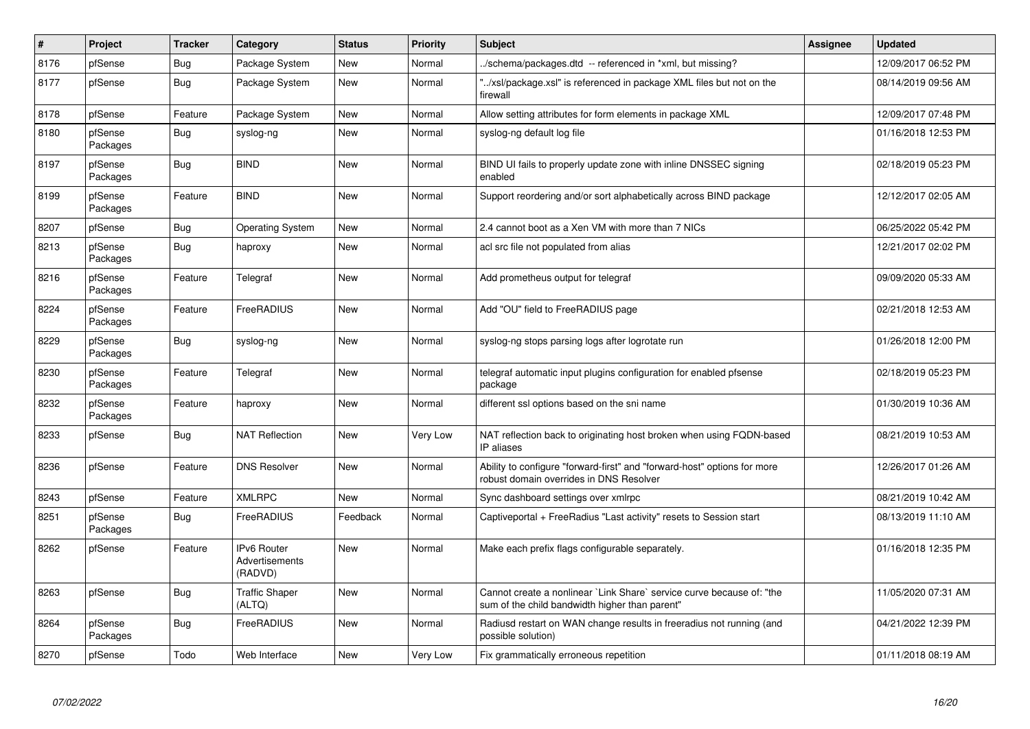| #    | Project             | <b>Tracker</b> | Category                                               | <b>Status</b> | Priority | <b>Subject</b>                                                                                                          | <b>Assignee</b> | <b>Updated</b>      |
|------|---------------------|----------------|--------------------------------------------------------|---------------|----------|-------------------------------------------------------------------------------------------------------------------------|-----------------|---------------------|
| 8176 | pfSense             | Bug            | Package System                                         | <b>New</b>    | Normal   | ./schema/packages.dtd -- referenced in *xml, but missing?                                                               |                 | 12/09/2017 06:52 PM |
| 8177 | pfSense             | Bug            | Package System                                         | <b>New</b>    | Normal   | "/xsl/package.xsl" is referenced in package XML files but not on the<br>firewall                                        |                 | 08/14/2019 09:56 AM |
| 8178 | pfSense             | Feature        | Package System                                         | <b>New</b>    | Normal   | Allow setting attributes for form elements in package XML                                                               |                 | 12/09/2017 07:48 PM |
| 8180 | pfSense<br>Packages | <b>Bug</b>     | syslog-ng                                              | <b>New</b>    | Normal   | syslog-ng default log file                                                                                              |                 | 01/16/2018 12:53 PM |
| 8197 | pfSense<br>Packages | Bug            | <b>BIND</b>                                            | <b>New</b>    | Normal   | BIND UI fails to properly update zone with inline DNSSEC signing<br>enabled                                             |                 | 02/18/2019 05:23 PM |
| 8199 | pfSense<br>Packages | Feature        | <b>BIND</b>                                            | New           | Normal   | Support reordering and/or sort alphabetically across BIND package                                                       |                 | 12/12/2017 02:05 AM |
| 8207 | pfSense             | Bug            | <b>Operating System</b>                                | <b>New</b>    | Normal   | 2.4 cannot boot as a Xen VM with more than 7 NICs                                                                       |                 | 06/25/2022 05:42 PM |
| 8213 | pfSense<br>Packages | <b>Bug</b>     | haproxy                                                | New           | Normal   | acl src file not populated from alias                                                                                   |                 | 12/21/2017 02:02 PM |
| 8216 | pfSense<br>Packages | Feature        | Telegraf                                               | <b>New</b>    | Normal   | Add prometheus output for telegraf                                                                                      |                 | 09/09/2020 05:33 AM |
| 8224 | pfSense<br>Packages | Feature        | FreeRADIUS                                             | <b>New</b>    | Normal   | Add "OU" field to FreeRADIUS page                                                                                       |                 | 02/21/2018 12:53 AM |
| 8229 | pfSense<br>Packages | <b>Bug</b>     | syslog-ng                                              | New           | Normal   | syslog-ng stops parsing logs after logrotate run                                                                        |                 | 01/26/2018 12:00 PM |
| 8230 | pfSense<br>Packages | Feature        | Telegraf                                               | New           | Normal   | telegraf automatic input plugins configuration for enabled pfsense<br>package                                           |                 | 02/18/2019 05:23 PM |
| 8232 | pfSense<br>Packages | Feature        | haproxy                                                | <b>New</b>    | Normal   | different ssl options based on the sni name                                                                             |                 | 01/30/2019 10:36 AM |
| 8233 | pfSense             | Bug            | <b>NAT Reflection</b>                                  | New           | Very Low | NAT reflection back to originating host broken when using FQDN-based<br>IP aliases                                      |                 | 08/21/2019 10:53 AM |
| 8236 | pfSense             | Feature        | <b>DNS Resolver</b>                                    | <b>New</b>    | Normal   | Ability to configure "forward-first" and "forward-host" options for more<br>robust domain overrides in DNS Resolver     |                 | 12/26/2017 01:26 AM |
| 8243 | pfSense             | Feature        | <b>XMLRPC</b>                                          | New           | Normal   | Sync dashboard settings over xmlrpc                                                                                     |                 | 08/21/2019 10:42 AM |
| 8251 | pfSense<br>Packages | Bug            | FreeRADIUS                                             | Feedback      | Normal   | Captiveportal + FreeRadius "Last activity" resets to Session start                                                      |                 | 08/13/2019 11:10 AM |
| 8262 | pfSense             | Feature        | <b>IPv6 Router</b><br><b>Advertisements</b><br>(RADVD) | <b>New</b>    | Normal   | Make each prefix flags configurable separately.                                                                         |                 | 01/16/2018 12:35 PM |
| 8263 | pfSense             | <b>Bug</b>     | <b>Traffic Shaper</b><br>(ALTQ)                        | New           | Normal   | Cannot create a nonlinear `Link Share` service curve because of: "the<br>sum of the child bandwidth higher than parent" |                 | 11/05/2020 07:31 AM |
| 8264 | pfSense<br>Packages | Bug            | FreeRADIUS                                             | New           | Normal   | Radiusd restart on WAN change results in freeradius not running (and<br>possible solution)                              |                 | 04/21/2022 12:39 PM |
| 8270 | pfSense             | Todo           | Web Interface                                          | New           | Very Low | Fix grammatically erroneous repetition                                                                                  |                 | 01/11/2018 08:19 AM |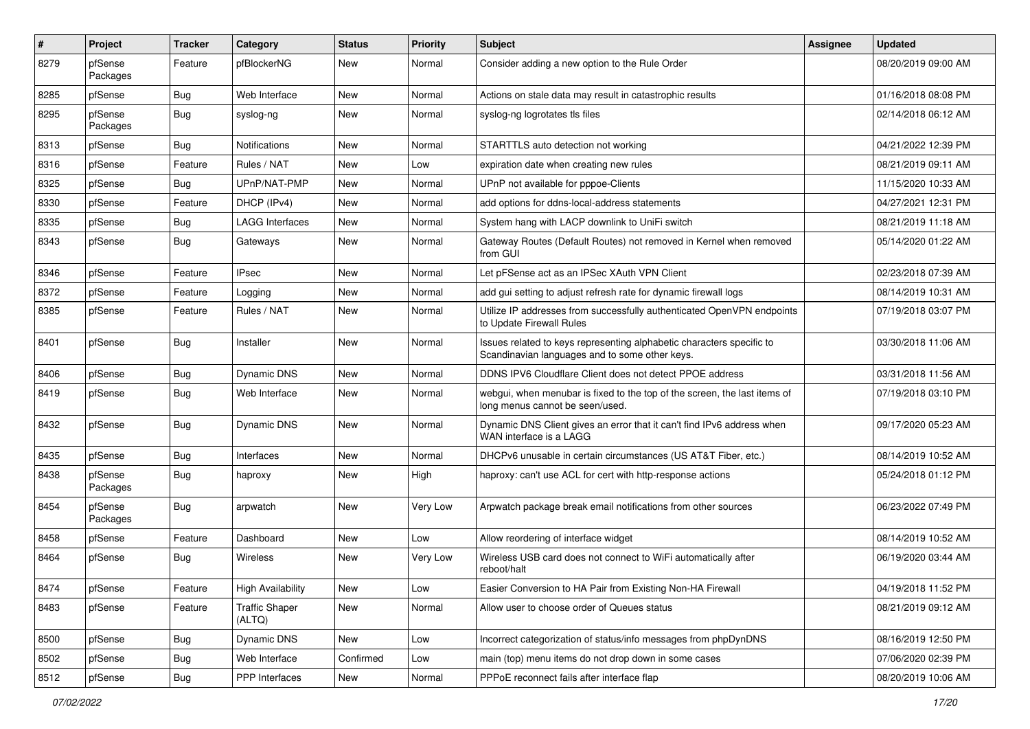| $\#$ | Project             | <b>Tracker</b> | Category                        | <b>Status</b> | <b>Priority</b> | <b>Subject</b>                                                                                                          | Assignee | <b>Updated</b>      |
|------|---------------------|----------------|---------------------------------|---------------|-----------------|-------------------------------------------------------------------------------------------------------------------------|----------|---------------------|
| 8279 | pfSense<br>Packages | Feature        | pfBlockerNG                     | New           | Normal          | Consider adding a new option to the Rule Order                                                                          |          | 08/20/2019 09:00 AM |
| 8285 | pfSense             | Bug            | Web Interface                   | New           | Normal          | Actions on stale data may result in catastrophic results                                                                |          | 01/16/2018 08:08 PM |
| 8295 | pfSense<br>Packages | Bug            | syslog-ng                       | New           | Normal          | syslog-ng logrotates tls files                                                                                          |          | 02/14/2018 06:12 AM |
| 8313 | pfSense             | Bug            | Notifications                   | New           | Normal          | STARTTLS auto detection not working                                                                                     |          | 04/21/2022 12:39 PM |
| 8316 | pfSense             | Feature        | Rules / NAT                     | New           | Low             | expiration date when creating new rules                                                                                 |          | 08/21/2019 09:11 AM |
| 8325 | pfSense             | Bug            | UPnP/NAT-PMP                    | New           | Normal          | UPnP not available for pppoe-Clients                                                                                    |          | 11/15/2020 10:33 AM |
| 8330 | pfSense             | Feature        | DHCP (IPv4)                     | New           | Normal          | add options for ddns-local-address statements                                                                           |          | 04/27/2021 12:31 PM |
| 8335 | pfSense             | Bug            | <b>LAGG Interfaces</b>          | New           | Normal          | System hang with LACP downlink to UniFi switch                                                                          |          | 08/21/2019 11:18 AM |
| 8343 | pfSense             | Bug            | Gateways                        | New           | Normal          | Gateway Routes (Default Routes) not removed in Kernel when removed<br>from GUI                                          |          | 05/14/2020 01:22 AM |
| 8346 | pfSense             | Feature        | <b>IPsec</b>                    | New           | Normal          | Let pFSense act as an IPSec XAuth VPN Client                                                                            |          | 02/23/2018 07:39 AM |
| 8372 | pfSense             | Feature        | Logging                         | New           | Normal          | add gui setting to adjust refresh rate for dynamic firewall logs                                                        |          | 08/14/2019 10:31 AM |
| 8385 | pfSense             | Feature        | Rules / NAT                     | New           | Normal          | Utilize IP addresses from successfully authenticated OpenVPN endpoints<br>to Update Firewall Rules                      |          | 07/19/2018 03:07 PM |
| 8401 | pfSense             | Bug            | Installer                       | New           | Normal          | Issues related to keys representing alphabetic characters specific to<br>Scandinavian languages and to some other keys. |          | 03/30/2018 11:06 AM |
| 8406 | pfSense             | Bug            | Dynamic DNS                     | New           | Normal          | DDNS IPV6 Cloudflare Client does not detect PPOE address                                                                |          | 03/31/2018 11:56 AM |
| 8419 | pfSense             | Bug            | Web Interface                   | New           | Normal          | webgui, when menubar is fixed to the top of the screen, the last items of<br>long menus cannot be seen/used.            |          | 07/19/2018 03:10 PM |
| 8432 | pfSense             | Bug            | <b>Dynamic DNS</b>              | New           | Normal          | Dynamic DNS Client gives an error that it can't find IPv6 address when<br>WAN interface is a LAGG                       |          | 09/17/2020 05:23 AM |
| 8435 | pfSense             | Bug            | Interfaces                      | New           | Normal          | DHCPv6 unusable in certain circumstances (US AT&T Fiber, etc.)                                                          |          | 08/14/2019 10:52 AM |
| 8438 | pfSense<br>Packages | Bug            | haproxy                         | New           | High            | haproxy: can't use ACL for cert with http-response actions                                                              |          | 05/24/2018 01:12 PM |
| 8454 | pfSense<br>Packages | <b>Bug</b>     | arpwatch                        | New           | Very Low        | Arpwatch package break email notifications from other sources                                                           |          | 06/23/2022 07:49 PM |
| 8458 | pfSense             | Feature        | Dashboard                       | New           | Low             | Allow reordering of interface widget                                                                                    |          | 08/14/2019 10:52 AM |
| 8464 | pfSense             | Bug            | Wireless                        | New           | Very Low        | Wireless USB card does not connect to WiFi automatically after<br>reboot/halt                                           |          | 06/19/2020 03:44 AM |
| 8474 | pfSense             | Feature        | <b>High Availability</b>        | New           | Low             | Easier Conversion to HA Pair from Existing Non-HA Firewall                                                              |          | 04/19/2018 11:52 PM |
| 8483 | pfSense             | Feature        | <b>Traffic Shaper</b><br>(ALTQ) | New           | Normal          | Allow user to choose order of Queues status                                                                             |          | 08/21/2019 09:12 AM |
| 8500 | pfSense             | Bug            | Dynamic DNS                     | New           | Low             | Incorrect categorization of status/info messages from phpDynDNS                                                         |          | 08/16/2019 12:50 PM |
| 8502 | pfSense             | <b>Bug</b>     | Web Interface                   | Confirmed     | Low             | main (top) menu items do not drop down in some cases                                                                    |          | 07/06/2020 02:39 PM |
| 8512 | pfSense             | Bug            | PPP Interfaces                  | New           | Normal          | PPPoE reconnect fails after interface flap                                                                              |          | 08/20/2019 10:06 AM |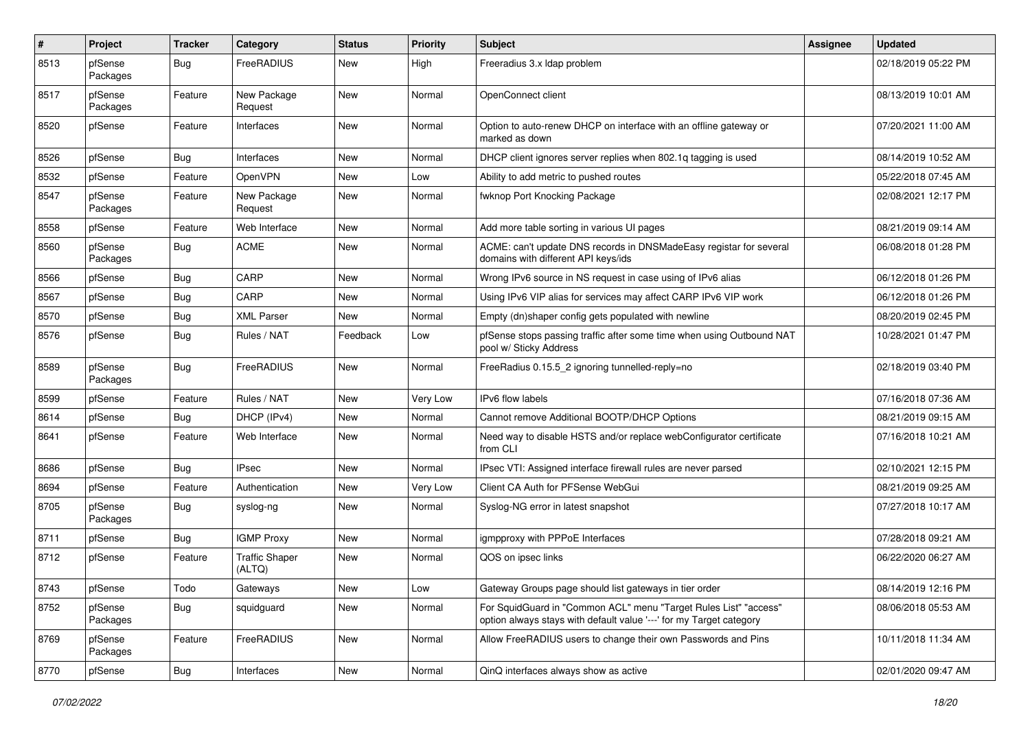| $\pmb{\#}$ | Project             | <b>Tracker</b> | Category                        | <b>Status</b> | <b>Priority</b> | <b>Subject</b>                                                                                                                          | <b>Assignee</b> | <b>Updated</b>      |
|------------|---------------------|----------------|---------------------------------|---------------|-----------------|-----------------------------------------------------------------------------------------------------------------------------------------|-----------------|---------------------|
| 8513       | pfSense<br>Packages | Bug            | FreeRADIUS                      | <b>New</b>    | High            | Freeradius 3.x Idap problem                                                                                                             |                 | 02/18/2019 05:22 PM |
| 8517       | pfSense<br>Packages | Feature        | New Package<br>Request          | <b>New</b>    | Normal          | OpenConnect client                                                                                                                      |                 | 08/13/2019 10:01 AM |
| 8520       | pfSense             | Feature        | Interfaces                      | <b>New</b>    | Normal          | Option to auto-renew DHCP on interface with an offline gateway or<br>marked as down                                                     |                 | 07/20/2021 11:00 AM |
| 8526       | pfSense             | Bug            | Interfaces                      | <b>New</b>    | Normal          | DHCP client ignores server replies when 802.1q tagging is used                                                                          |                 | 08/14/2019 10:52 AM |
| 8532       | pfSense             | Feature        | <b>OpenVPN</b>                  | New           | Low             | Ability to add metric to pushed routes                                                                                                  |                 | 05/22/2018 07:45 AM |
| 8547       | pfSense<br>Packages | Feature        | New Package<br>Request          | New           | Normal          | fwknop Port Knocking Package                                                                                                            |                 | 02/08/2021 12:17 PM |
| 8558       | pfSense             | Feature        | Web Interface                   | New           | Normal          | Add more table sorting in various UI pages                                                                                              |                 | 08/21/2019 09:14 AM |
| 8560       | pfSense<br>Packages | Bug            | <b>ACME</b>                     | New           | Normal          | ACME: can't update DNS records in DNSMadeEasy registar for several<br>domains with different API keys/ids                               |                 | 06/08/2018 01:28 PM |
| 8566       | pfSense             | Bug            | CARP                            | <b>New</b>    | Normal          | Wrong IPv6 source in NS request in case using of IPv6 alias                                                                             |                 | 06/12/2018 01:26 PM |
| 8567       | pfSense             | Bug            | CARP                            | <b>New</b>    | Normal          | Using IPv6 VIP alias for services may affect CARP IPv6 VIP work                                                                         |                 | 06/12/2018 01:26 PM |
| 8570       | pfSense             | Bug            | <b>XML Parser</b>               | New           | Normal          | Empty (dn)shaper config gets populated with newline                                                                                     |                 | 08/20/2019 02:45 PM |
| 8576       | pfSense             | Bug            | Rules / NAT                     | Feedback      | Low             | pfSense stops passing traffic after some time when using Outbound NAT<br>pool w/ Sticky Address                                         |                 | 10/28/2021 01:47 PM |
| 8589       | pfSense<br>Packages | Bug            | FreeRADIUS                      | New           | Normal          | FreeRadius 0.15.5 2 ignoring tunnelled-reply=no                                                                                         |                 | 02/18/2019 03:40 PM |
| 8599       | pfSense             | Feature        | Rules / NAT                     | <b>New</b>    | Very Low        | IPv6 flow labels                                                                                                                        |                 | 07/16/2018 07:36 AM |
| 8614       | pfSense             | Bug            | DHCP (IPv4)                     | New           | Normal          | Cannot remove Additional BOOTP/DHCP Options                                                                                             |                 | 08/21/2019 09:15 AM |
| 8641       | pfSense             | Feature        | Web Interface                   | New           | Normal          | Need way to disable HSTS and/or replace webConfigurator certificate<br>from CLI                                                         |                 | 07/16/2018 10:21 AM |
| 8686       | pfSense             | Bug            | <b>IPsec</b>                    | New           | Normal          | IPsec VTI: Assigned interface firewall rules are never parsed                                                                           |                 | 02/10/2021 12:15 PM |
| 8694       | pfSense             | Feature        | Authentication                  | <b>New</b>    | Very Low        | Client CA Auth for PFSense WebGui                                                                                                       |                 | 08/21/2019 09:25 AM |
| 8705       | pfSense<br>Packages | Bug            | syslog-ng                       | New           | Normal          | Syslog-NG error in latest snapshot                                                                                                      |                 | 07/27/2018 10:17 AM |
| 8711       | pfSense             | Bug            | <b>IGMP Proxy</b>               | <b>New</b>    | Normal          | igmpproxy with PPPoE Interfaces                                                                                                         |                 | 07/28/2018 09:21 AM |
| 8712       | pfSense             | Feature        | <b>Traffic Shaper</b><br>(ALTQ) | <b>New</b>    | Normal          | QOS on ipsec links                                                                                                                      |                 | 06/22/2020 06:27 AM |
| 8743       | pfSense             | Todo           | Gateways                        | New           | Low             | Gateway Groups page should list gateways in tier order                                                                                  |                 | 08/14/2019 12:16 PM |
| 8752       | pfSense<br>Packages | Bug            | squidguard                      | New           | Normal          | For SquidGuard in "Common ACL" menu "Target Rules List" "access"<br>option always stays with default value '---' for my Target category |                 | 08/06/2018 05:53 AM |
| 8769       | pfSense<br>Packages | Feature        | FreeRADIUS                      | New           | Normal          | Allow FreeRADIUS users to change their own Passwords and Pins                                                                           |                 | 10/11/2018 11:34 AM |
| 8770       | pfSense             | Bug            | Interfaces                      | New           | Normal          | QinQ interfaces always show as active                                                                                                   |                 | 02/01/2020 09:47 AM |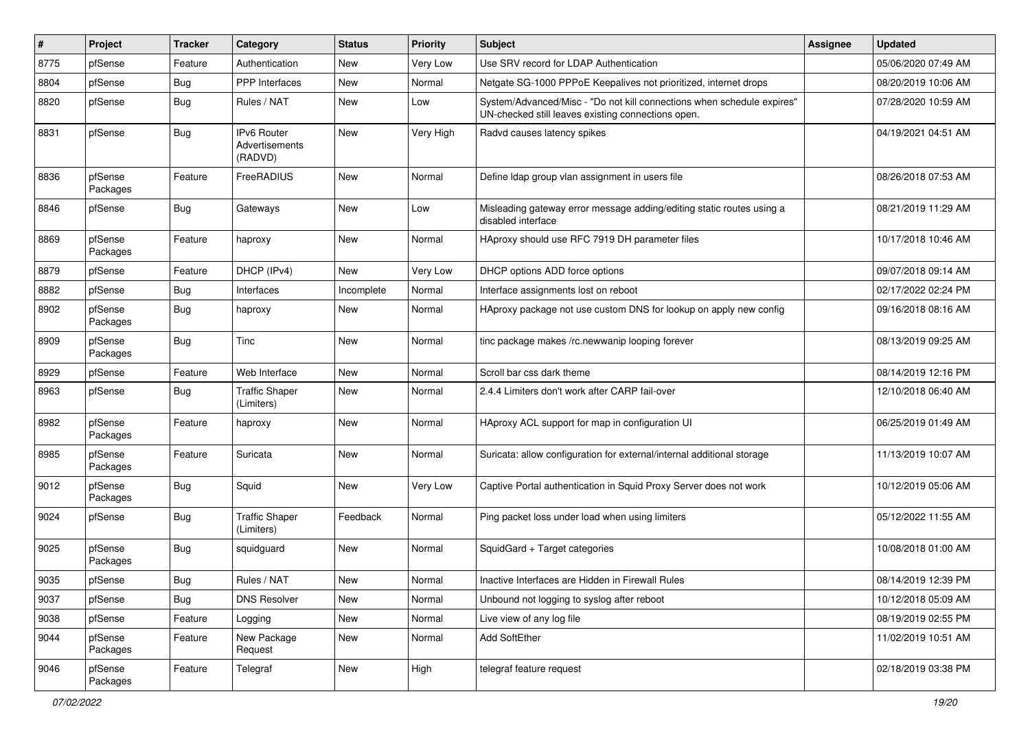| ∦    | Project             | <b>Tracker</b> | Category                                 | <b>Status</b> | <b>Priority</b> | <b>Subject</b>                                                                                                               | <b>Assignee</b> | <b>Updated</b>      |
|------|---------------------|----------------|------------------------------------------|---------------|-----------------|------------------------------------------------------------------------------------------------------------------------------|-----------------|---------------------|
| 8775 | pfSense             | Feature        | Authentication                           | New           | Very Low        | Use SRV record for LDAP Authentication                                                                                       |                 | 05/06/2020 07:49 AM |
| 8804 | pfSense             | Bug            | <b>PPP</b> Interfaces                    | New           | Normal          | Netgate SG-1000 PPPoE Keepalives not prioritized, internet drops                                                             |                 | 08/20/2019 10:06 AM |
| 8820 | pfSense             | Bug            | Rules / NAT                              | New           | Low             | System/Advanced/Misc - "Do not kill connections when schedule expires"<br>UN-checked still leaves existing connections open. |                 | 07/28/2020 10:59 AM |
| 8831 | pfSense             | Bug            | IPv6 Router<br>Advertisements<br>(RADVD) | New           | Very High       | Radvd causes latency spikes                                                                                                  |                 | 04/19/2021 04:51 AM |
| 8836 | pfSense<br>Packages | Feature        | FreeRADIUS                               | New           | Normal          | Define Idap group vlan assignment in users file                                                                              |                 | 08/26/2018 07:53 AM |
| 8846 | pfSense             | Bug            | Gateways                                 | New           | Low             | Misleading gateway error message adding/editing static routes using a<br>disabled interface                                  |                 | 08/21/2019 11:29 AM |
| 8869 | pfSense<br>Packages | Feature        | haproxy                                  | New           | Normal          | HAproxy should use RFC 7919 DH parameter files                                                                               |                 | 10/17/2018 10:46 AM |
| 8879 | pfSense             | Feature        | DHCP (IPv4)                              | New           | Very Low        | DHCP options ADD force options                                                                                               |                 | 09/07/2018 09:14 AM |
| 8882 | pfSense             | Bug            | Interfaces                               | Incomplete    | Normal          | Interface assignments lost on reboot                                                                                         |                 | 02/17/2022 02:24 PM |
| 8902 | pfSense<br>Packages | Bug            | haproxy                                  | New           | Normal          | HAproxy package not use custom DNS for lookup on apply new config                                                            |                 | 09/16/2018 08:16 AM |
| 8909 | pfSense<br>Packages | Bug            | Tinc                                     | New           | Normal          | tinc package makes /rc.newwanip looping forever                                                                              |                 | 08/13/2019 09:25 AM |
| 8929 | pfSense             | Feature        | Web Interface                            | <b>New</b>    | Normal          | Scroll bar css dark theme                                                                                                    |                 | 08/14/2019 12:16 PM |
| 8963 | pfSense             | Bug            | <b>Traffic Shaper</b><br>(Limiters)      | New           | Normal          | 2.4.4 Limiters don't work after CARP fail-over                                                                               |                 | 12/10/2018 06:40 AM |
| 8982 | pfSense<br>Packages | Feature        | haproxy                                  | New           | Normal          | HAproxy ACL support for map in configuration UI                                                                              |                 | 06/25/2019 01:49 AM |
| 8985 | pfSense<br>Packages | Feature        | Suricata                                 | New           | Normal          | Suricata: allow configuration for external/internal additional storage                                                       |                 | 11/13/2019 10:07 AM |
| 9012 | pfSense<br>Packages | Bug            | Squid                                    | New           | Very Low        | Captive Portal authentication in Squid Proxy Server does not work                                                            |                 | 10/12/2019 05:06 AM |
| 9024 | pfSense             | Bug            | <b>Traffic Shaper</b><br>(Limiters)      | Feedback      | Normal          | Ping packet loss under load when using limiters                                                                              |                 | 05/12/2022 11:55 AM |
| 9025 | pfSense<br>Packages | Bug            | squidguard                               | New           | Normal          | SquidGard + Target categories                                                                                                |                 | 10/08/2018 01:00 AM |
| 9035 | pfSense             | Bug            | Rules / NAT                              | New           | Normal          | Inactive Interfaces are Hidden in Firewall Rules                                                                             |                 | 08/14/2019 12:39 PM |
| 9037 | pfSense             | <b>Bug</b>     | <b>DNS Resolver</b>                      | New           | Normal          | Unbound not logging to syslog after reboot                                                                                   |                 | 10/12/2018 05:09 AM |
| 9038 | pfSense             | Feature        | Logging                                  | New           | Normal          | Live view of any log file                                                                                                    |                 | 08/19/2019 02:55 PM |
| 9044 | pfSense<br>Packages | Feature        | New Package<br>Request                   | New           | Normal          | Add SoftEther                                                                                                                |                 | 11/02/2019 10:51 AM |
| 9046 | pfSense<br>Packages | Feature        | Telegraf                                 | New           | High            | telegraf feature request                                                                                                     |                 | 02/18/2019 03:38 PM |